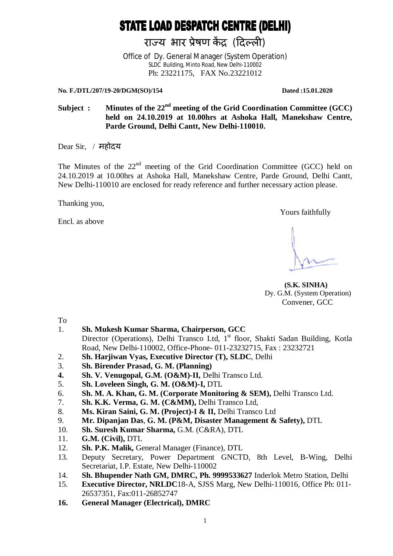# **STATE LOAD DESPATCH CENTRE (DELHI)**

राज्य भार प्रेषण केंद्र (दिल्ली)

Office of Dy. General Manager (System Operation) SLDC Building, Minto Road, New Delhi-110002 Ph: 23221175, FAX No.23221012

**No. F./DTL/207/19-20/DGM(SO)/154 Dated :15.01.2020** 

Subject : Minutes of the 22<sup>nd</sup> meeting of the Grid Coordination Committee (GCC) **held on 24.10.2019 at 10.00hrs at Ashoka Hall, Manekshaw Centre, Parde Ground, Delhi Cantt, New Delhi-110010.**

Dear Sir, / महोदय

The Minutes of the  $22<sup>nd</sup>$  meeting of the Grid Coordination Committee (GCC) held on 24.10.2019 at 10.00hrs at Ashoka Hall, Manekshaw Centre, Parde Ground, Delhi Cantt, New Delhi-110010 are enclosed for ready reference and further necessary action please.

Thanking you,

Encl. as above

Yours faithfully

 **(S.K. SINHA)** Dy. G.M. (System Operation) Convener, GCC

To

- 1. **Sh. Mukesh Kumar Sharma, Chairperson, GCC** Director (Operations), Delhi Transco Ltd, 1<sup>st</sup> floor, Shakti Sadan Building, Kotla Road, New Delhi-110002, Office-Phone- 011-23232715, Fax : 23232721
- 2. **Sh. Harjiwan Vyas, Executive Director (T), SLDC**, Delhi
- 3. **Sh. Birender Prasad, G. M. (Planning)**
- **4. Sh. V. Venugopal, G.M. (O&M)-II,** Delhi Transco Ltd.
- 5. **Sh. Loveleen Singh, G. M. (O&M)-I,** DTL
- 6. **Sh. M. A. Khan, G. M. (Corporate Monitoring & SEM),** Delhi Transco Ltd.
- 7. **Sh. K.K. Verma, G. M. (C&MM),** Delhi Transco Ltd,
- 8. **Ms. Kiran Saini, G. M. (Project)-I & II,** Delhi Transco Ltd
- 9. **Mr. Dipanjan Das**, **G. M. (P&M, Disaster Management & Safety),** DTL
- 10. **Sh. Suresh Kumar Sharma,** G.M. (C&RA), DTL
- 11. **G.M. (Civil),** DTL
- 12. **Sh. P.K. Malik,** General Manager (Finance), DTL
- 13. Deputy Secretary, Power Department GNCTD, 8th Level, B-Wing, Delhi Secretariat, I.P. Estate, New Delhi-110002
- 14. **Sh. Bhupender Nath GM, DMRC, Ph. 9999533627** Inderlok Metro Station, Delhi
- 15. **Executive Director, NRLDC**18-A, SJSS Marg, New Delhi-110016, Office Ph: 011- 26537351, Fax:011-26852747
- **16. General Manager (Electrical), DMRC**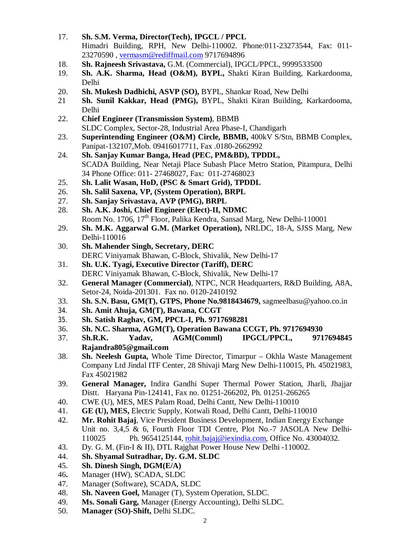- 17. **Sh. S.M. Verma, Director(Tech), IPGCL / PPCL** Himadri Building, RPH, New Delhi-110002. Phone:011-23273544, Fax: 011- 23270590 , vermasm@rediffmail.com 9717694896
- 18. **Sh. Rajneesh Srivastava,** G.M. (Commercial), IPGCL/PPCL, 9999533500
- 19. **Sh. A.K. Sharma, Head (O&M), BYPL,** Shakti Kiran Building, Karkardooma, Delhi
- 20. **Sh. Mukesh Dadhichi, ASVP (SO),** BYPL, Shankar Road, New Delhi
- 21 **Sh. Sunil Kakkar, Head (PMG),** BYPL, Shakti Kiran Building, Karkardooma, Delhi
- 22. **Chief Engineer (Transmission System)**, BBMB SLDC Complex, Sector-28, Industrial Area Phase-I, Chandigarh
- 23. **Superintending Engineer (O&M) Circle, BBMB,** 400kV S/Stn, BBMB Complex, Panipat-132107,Mob. 09416017711, Fax .0180-2662992
- 24. **Sh. Sanjay Kumar Banga, Head (PEC, PM&BD), TPDDL,** SCADA Building, Near Netaji Place Subash Place Metro Station, Pitampura, Delhi 34 Phone Office: 011- 27468027, Fax: 011-27468023
- 25. **Sh. Lalit Wasan, HoD, (PSC & Smart Grid), TPDDL**
- 26. **Sh. Salil Saxena, VP, (System Operation), BRPL**
- 27. **Sh. Sanjay Srivastava, AVP (PMG), BRPL**
- 28. **Sh. A.K. Joshi, Chief Engineer (Elect)-II, NDMC**
- Room No. 1706,  $17<sup>th</sup>$  Floor, Palika Kendra, Sansad Marg, New Delhi-110001 29. **Sh. M.K. Aggarwal G.M. (Market Operation),** NRLDC, 18-A, SJSS Marg, New
	- Delhi-110016
- 30. **Sh. Mahender Singh, Secretary, DERC** DERC Viniyamak Bhawan, C-Block, Shivalik, New Delhi-17
- 31. **Sh. U.K. Tyagi, Executive Director (Tariff), DERC** DERC Viniyamak Bhawan, C-Block, Shivalik, New Delhi-17
- 32. **General Manager (Commercial)**, NTPC, NCR Headquarters, R&D Building, A8A, Setor-24, Noida-201301. Fax no. 0120-2410192
- 33. **Sh. S.N. Basu, GM(T), GTPS, Phone No.9818434679,** sagmeelbasu@yahoo.co.in
- 34. **Sh. Amit Ahuja, GM(T), Bawana, CCGT**
- 35. **Sh. Satish Raghav, GM, PPCL-I, Ph. 9717698281**
- 36. **Sh. N.C. Sharma, AGM(T), Operation Bawana CCGT, Ph. 9717694930**
- 37. **Sh.R.K. Yadav, AGM(Comml) IPGCL/PPCL, 9717694845 Rajandra805@gmail.com**
- 38. **Sh. Neelesh Gupta,** Whole Time Director, Timarpur Okhla Waste Management Company Ltd Jindal ITF Center, 28 Shivaji Marg New Delhi-110015, Ph. 45021983, Fax 45021982
- 39. **General Manager,** Indira Gandhi Super Thermal Power Station, Jharli, Jhajjar Distt. Haryana Pin-124141, Fax no. 01251-266202, Ph. 01251-266265
- 40. CWE (U), MES, MES Palam Road, Delhi Cantt, New Delhi-110010
- 41. **GE (U), MES,** Electric Supply, Kotwali Road, Delhi Cantt, Delhi-110010
- 42. **Mr. Rohit Bajaj**, Vice President Business Development, Indian Energy Exchange Unit no. 3,4,5 & 6, Fourth Floor TDI Centre, Plot No.-7 JASOLA New Delhi-110025 Ph. 9654125144, rohit.bajaj@iexindia.com, Office No. 43004032.
- 43. Dy. G. M. (Fin-I & II), DTL Rajghat Power House New Delhi -110002.
- 44. **Sh. Shyamal Sutradhar, Dy. G.M. SLDC**
- 45. **Sh. Dinesh Singh, DGM(E/A)**
- 46**.** Manager (HW), SCADA, SLDC
- 47. Manager (Software), SCADA, SLDC
- 48. **Sh. Naveen Goel,** Manager (T), System Operation, SLDC.
- 49. **Ms. Sonali Garg,** Manager (Energy Accounting), Delhi SLDC.
- 50. **Manager (SO)-Shift,** Delhi SLDC.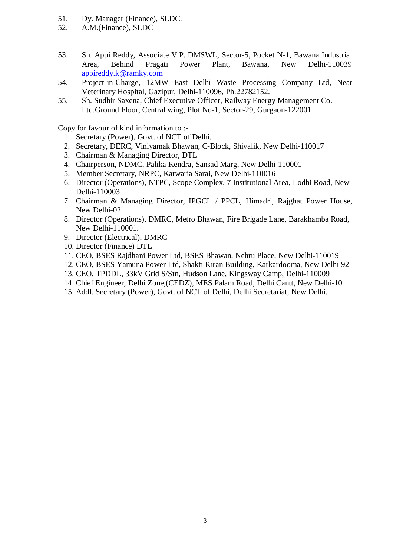- 51. Dy. Manager (Finance), SLDC.
- 52. A.M.(Finance), SLDC
- 53. Sh. Appi Reddy, Associate V.P. DMSWL, Sector-5, Pocket N-1, Bawana Industrial Area, Behind Pragati Power Plant, Bawana, New Delhi-110039 appireddy.k@ramky.com
- 54. Project-in-Charge, 12MW East Delhi Waste Processing Company Ltd, Near Veterinary Hospital, Gazipur, Delhi-110096, Ph.22782152.
- 55. Sh. Sudhir Saxena, Chief Executive Officer, Railway Energy Management Co. Ltd.Ground Floor, Central wing, Plot No-1, Sector-29, Gurgaon-122001

Copy for favour of kind information to :-

- 1. Secretary (Power), Govt. of NCT of Delhi,
- 2. Secretary, DERC, Viniyamak Bhawan, C-Block, Shivalik, New Delhi-110017
- 3. Chairman & Managing Director, DTL
- 4. Chairperson, NDMC, Palika Kendra, Sansad Marg, New Delhi-110001
- 5. Member Secretary, NRPC, Katwaria Sarai, New Delhi-110016
- 6. Director (Operations), NTPC, Scope Complex, 7 Institutional Area, Lodhi Road, New Delhi-110003
- 7. Chairman & Managing Director, IPGCL / PPCL, Himadri, Rajghat Power House, New Delhi-02
- 8. Director (Operations), DMRC, Metro Bhawan, Fire Brigade Lane, Barakhamba Road, New Delhi-110001.
- 9. Director (Electrical), DMRC
- 10. Director (Finance) DTL
- 11. CEO, BSES Rajdhani Power Ltd, BSES Bhawan, Nehru Place, New Delhi-110019
- 12. CEO, BSES Yamuna Power Ltd, Shakti Kiran Building, Karkardooma, New Delhi-92
- 13. CEO, TPDDL, 33kV Grid S/Stn, Hudson Lane, Kingsway Camp, Delhi-110009
- 14. Chief Engineer, Delhi Zone,(CEDZ), MES Palam Road, Delhi Cantt, New Delhi-10
- 15. Addl. Secretary (Power), Govt. of NCT of Delhi, Delhi Secretariat, New Delhi.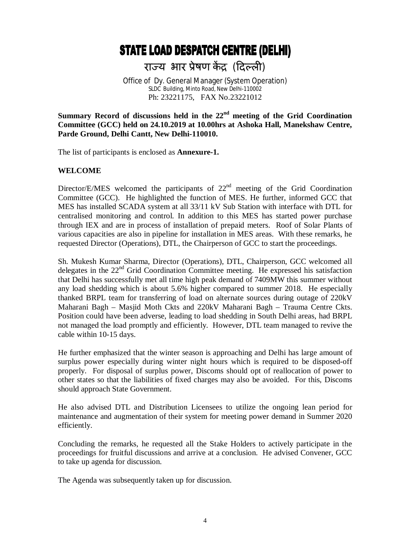# **STATE LOAD DESPATCH CENTRE (DELHI)**

राज्य भार प्रेषण केंद्र (दिल्ली)

Office of Dy. General Manager (System Operation) SLDC Building, Minto Road, New Delhi-110002 Ph: 23221175, FAX No.23221012

Summary Record of discussions held in the 22<sup>nd</sup> meeting of the Grid Coordination **Committee (GCC) held on 24.10.2019 at 10.00hrs at Ashoka Hall, Manekshaw Centre, Parde Ground, Delhi Cantt, New Delhi-110010.**

The list of participants is enclosed as **Annexure-1.**

#### **WELCOME**

Director/E/MES welcomed the participants of  $22<sup>nd</sup>$  meeting of the Grid Coordination Committee (GCC). He highlighted the function of MES. He further, informed GCC that MES has installed SCADA system at all 33/11 kV Sub Station with interface with DTL for centralised monitoring and control. In addition to this MES has started power purchase through IEX and are in process of installation of prepaid meters. Roof of Solar Plants of various capacities are also in pipeline for installation in MES areas. With these remarks, he requested Director (Operations), DTL, the Chairperson of GCC to start the proceedings.

Sh. Mukesh Kumar Sharma, Director (Operations), DTL, Chairperson, GCC welcomed all delegates in the 22<sup>nd</sup> Grid Coordination Committee meeting. He expressed his satisfaction that Delhi has successfully met all time high peak demand of 7409MW this summer without any load shedding which is about 5.6% higher compared to summer 2018. He especially thanked BRPL team for transferring of load on alternate sources during outage of 220kV Maharani Bagh – Masjid Moth Ckts and 220kV Maharani Bagh – Trauma Centre Ckts. Position could have been adverse, leading to load shedding in South Delhi areas, had BRPL not managed the load promptly and efficiently. However, DTL team managed to revive the cable within 10-15 days.

He further emphasized that the winter season is approaching and Delhi has large amount of surplus power especially during winter night hours which is required to be disposed-off properly. For disposal of surplus power, Discoms should opt of reallocation of power to other states so that the liabilities of fixed charges may also be avoided. For this, Discoms should approach State Government.

He also advised DTL and Distribution Licensees to utilize the ongoing lean period for maintenance and augmentation of their system for meeting power demand in Summer 2020 efficiently.

Concluding the remarks, he requested all the Stake Holders to actively participate in the proceedings for fruitful discussions and arrive at a conclusion. He advised Convener, GCC to take up agenda for discussion.

The Agenda was subsequently taken up for discussion.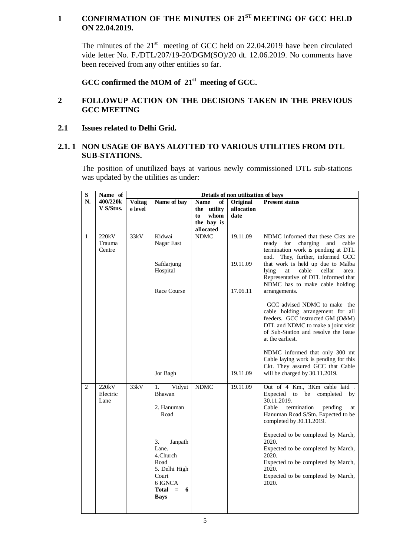# **1 CONFIRMATION OF THE MINUTES OF 21ST MEETING OF GCC HELD ON 22.04.2019.**

The minutes of the  $21<sup>st</sup>$  meeting of GCC held on 22.04.2019 have been circulated vide letter No. F./DTL/207/19-20/DGM(SO)/20 dt. 12.06.2019. No comments have been received from any other entities so far.

**GCC confirmed the MOM of 21st meeting of GCC.** 

# **2 FOLLOWUP ACTION ON THE DECISIONS TAKEN IN THE PREVIOUS GCC MEETING**

**2.1 Issues related to Delhi Grid.**

# **2.1. 1 NON USAGE OF BAYS ALOTTED TO VARIOUS UTILITIES FROM DTL SUB-STATIONS.**

The position of unutilized bays at various newly commissioned DTL sub-stations was updated by the utilities as under:

| $\overline{\mathbf{s}}$ | Name of                   | Details of non utilization of bays |                                                                                                                                                                            |                   |            |                                                                                                                                                                                                                                                                                                                                                                                                |  |  |
|-------------------------|---------------------------|------------------------------------|----------------------------------------------------------------------------------------------------------------------------------------------------------------------------|-------------------|------------|------------------------------------------------------------------------------------------------------------------------------------------------------------------------------------------------------------------------------------------------------------------------------------------------------------------------------------------------------------------------------------------------|--|--|
| N.                      | 400/220k                  | Voltag                             | Name of bay                                                                                                                                                                | <b>Name</b><br>of | Original   | <b>Present status</b>                                                                                                                                                                                                                                                                                                                                                                          |  |  |
|                         | V S/Stns.                 | e level                            |                                                                                                                                                                            | the utility       | allocation |                                                                                                                                                                                                                                                                                                                                                                                                |  |  |
|                         |                           |                                    |                                                                                                                                                                            | whom<br>to        | date       |                                                                                                                                                                                                                                                                                                                                                                                                |  |  |
|                         |                           |                                    |                                                                                                                                                                            | the bay is        |            |                                                                                                                                                                                                                                                                                                                                                                                                |  |  |
|                         |                           |                                    |                                                                                                                                                                            | allocated         |            |                                                                                                                                                                                                                                                                                                                                                                                                |  |  |
| $\mathbf{1}$            | 220kV<br>Trauma<br>Centre | 33kV                               | Kidwai<br>Nagar East                                                                                                                                                       | <b>NDMC</b>       | 19.11.09   | NDMC informed that these Ckts are<br>cable<br>for<br>charging<br>and<br>ready<br>termination work is pending at DTL<br>They, further, informed GCC<br>end.                                                                                                                                                                                                                                     |  |  |
|                         |                           |                                    | Safdarjung<br>Hospital                                                                                                                                                     |                   | 19.11.09   | that work is held up due to Malba<br>lying<br>cable<br>cellar<br>area.<br>at<br>Representative of DTL informed that<br>NDMC has to make cable holding                                                                                                                                                                                                                                          |  |  |
|                         |                           |                                    | Race Course                                                                                                                                                                |                   | 17.06.11   | arrangements.                                                                                                                                                                                                                                                                                                                                                                                  |  |  |
|                         |                           |                                    |                                                                                                                                                                            |                   |            | GCC advised NDMC to make the<br>cable holding arrangement for all<br>feeders. GCC instructed GM (O&M)<br>DTL and NDMC to make a joint visit<br>of Sub-Station and resolve the issue<br>at the earliest.                                                                                                                                                                                        |  |  |
|                         |                           |                                    | Jor Bagh                                                                                                                                                                   |                   | 19.11.09   | NDMC informed that only 300 mt<br>Cable laying work is pending for this<br>Ckt. They assured GCC that Cable<br>will be charged by 30.11.2019.                                                                                                                                                                                                                                                  |  |  |
| $\overline{c}$          | 220kV<br>Electric<br>Lane | 33kV                               | Vidyut<br>1.<br>Bhawan<br>2. Hanuman<br>Road<br>3.<br>Janpath<br>Lane.<br>4.Church<br>Road<br>5. Delhi High<br>Court<br>6 IGNCA<br><b>Total</b><br>6<br>$=$<br><b>Bays</b> | <b>NDMC</b>       | 19.11.09   | Out of 4 Km., 3Km cable laid.<br>Expected<br>be<br>completed<br>to<br>by<br>30.11.2019.<br>Cable<br>termination<br>pending<br>at<br>Hanuman Road S/Stn. Expected to be<br>completed by 30.11.2019.<br>Expected to be completed by March,<br>2020.<br>Expected to be completed by March,<br>2020.<br>Expected to be completed by March,<br>2020.<br>Expected to be completed by March,<br>2020. |  |  |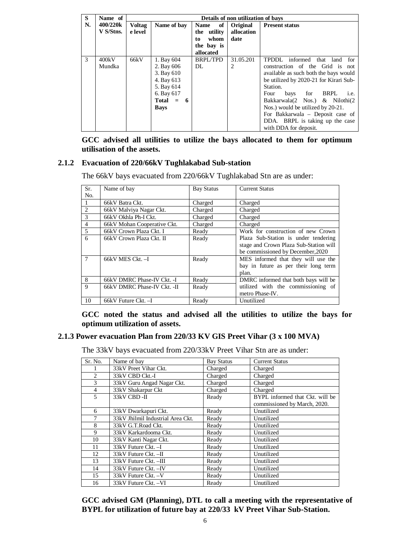| S  | Name of               |                          | Details of non utilization of bays                                                                             |                                                                           |                                |                                                                                                                                                                                                                                                                                                                                                                              |  |  |
|----|-----------------------|--------------------------|----------------------------------------------------------------------------------------------------------------|---------------------------------------------------------------------------|--------------------------------|------------------------------------------------------------------------------------------------------------------------------------------------------------------------------------------------------------------------------------------------------------------------------------------------------------------------------------------------------------------------------|--|--|
| N. | 400/220k<br>V S/Stns. | <b>Voltag</b><br>e level | Name of bay                                                                                                    | of<br><b>Name</b><br>the utility<br>whom<br>to<br>the bay is<br>allocated | Original<br>allocation<br>date | <b>Present status</b>                                                                                                                                                                                                                                                                                                                                                        |  |  |
| 3  | 400kV<br>Mundka       | 66kV                     | 1. Bay 604<br>2. Bay 606<br>3. Bay 610<br>4. Bay 613<br>5. Bay 614<br>6. Bay 617<br>Total $= 6$<br><b>Bays</b> | <b>BRPL/TPD</b><br>DL.                                                    | 31.05.201<br>2                 | TPDDL informed that land<br>for<br>construction of the Grid is not<br>available as such both the bays would<br>be utilized by 2020-21 for Kirari Sub-<br>Station.<br>for BRPL<br>Four<br>bays<br>i.e.<br>Bakkarwala(2 Nos.) & Nilothi(2<br>Nos.) would be utilized by 20-21.<br>For Bakkarwala - Deposit case of<br>DDA. BRPL is taking up the case<br>with DDA for deposit. |  |  |

**GCC advised all utilities to utilize the bays allocated to them for optimum utilisation of the assets.** 

#### **2.1.2 Evacuation of 220/66kV Tughlakabad Sub-station**

The 66kV bays evacuated from 220/66kV Tughlakabad Stn are as under:

| Sr.            | Name of bay                 | <b>Bay Status</b> | <b>Current Status</b>                  |
|----------------|-----------------------------|-------------------|----------------------------------------|
| No.            |                             |                   |                                        |
| -1             | 66kV Batra Ckt.             | Charged           | Charged                                |
| 2              | 66kV Malviya Nagar Ckt.     | Charged           | Charged                                |
| 3              | 66kV Okhla Ph-I Ckt.        | Charged           | Charged                                |
| $\overline{4}$ | 66kV Mohan Cooperative Ckt. | Charged           | Charged                                |
| 5              | 66kV Crown Plaza Ckt. I     | Ready             | Work for construction of new Crown     |
| 6              | 66kV Crown Plaza Ckt. II    | Ready             | Plaza Sub-Station is under tendering   |
|                |                             |                   | stage and Crown Plaza Sub-Station will |
|                |                             |                   | be commissioned by December, 2020      |
| 7              | 66kV MES Ckt. - I           | Ready             | MES informed that they will use the    |
|                |                             |                   | bay in future as per their long term   |
|                |                             |                   | plan.                                  |
| 8              | 66kV DMRC Phase-IV Ckt. -I  | Ready             | DMRC informed that both bays will be   |
| 9              | 66kV DMRC Phase-IV Ckt. -II | Ready             | utilized with the commissioning of     |
|                |                             |                   | metro Phase-IV.                        |
| 10             | 66kV Future Ckt. -I         | Ready             | Unutilized                             |

**GCC noted the status and advised all the utilities to utilize the bays for optimum utilization of assets.** 

#### **2.1.3 Power evacuation Plan from 220/33 KV GIS Preet Vihar (3 x 100 MVA)**

The 33kV bays evacuated from 220/33kV Preet Vihar Stn are as under:

| Sr. No.                       | Name of bay                       | <b>Bay Status</b> | <b>Current Status</b>           |
|-------------------------------|-----------------------------------|-------------------|---------------------------------|
|                               | 33kV Preet Vihar Ckt.             | Charged           | Charged                         |
| $\mathfrak{D}_{\mathfrak{p}}$ | 33kV CBD Ckt.-I                   | Charged           | Charged                         |
| 3                             | 33kV Guru Angad Nagar Ckt.        | Charged           | Charged                         |
| 4                             | 33kV Shakarpur Ckt                | Charged           | Charged                         |
| 5                             | 33kV CBD-II                       | Ready             | BYPL informed that Ckt. will be |
|                               |                                   |                   | commissioned by March, 2020.    |
| 6                             | 33kV Dwarkapuri Ckt.              | Ready             | Unutilized                      |
| 7                             | 33kV Jhilmil Industrial Area Ckt. | Ready             | Unutilized                      |
| 8                             | 33kV G.T.Road Ckt.                | Ready             | Unutilized                      |
| 9                             | 33kV Karkardooma Ckt.             | Ready             | Unutilized                      |
| 10                            | 33kV Kanti Nagar Ckt.             | Ready             | Unutilized                      |
| 11                            | 33kV Future Ckt. - I              | Ready             | Unutilized                      |
| 12                            | 33kV Future Ckt. - II             | Ready             | Unutilized                      |
| 13                            | 33kV Future Ckt. -III             | Ready             | Unutilized                      |
| 14                            | 33kV Future Ckt. - IV             | Ready             | Unutilized                      |
| 15                            | 33kV Future Ckt. - V              | Ready             | Unutilized                      |
| 16                            | 33kV Future Ckt. - VI             | Ready             | Unutilized                      |

**GCC advised GM (Planning), DTL to call a meeting with the representative of BYPL for utilization of future bay at 220/33 kV Preet Vihar Sub-Station.**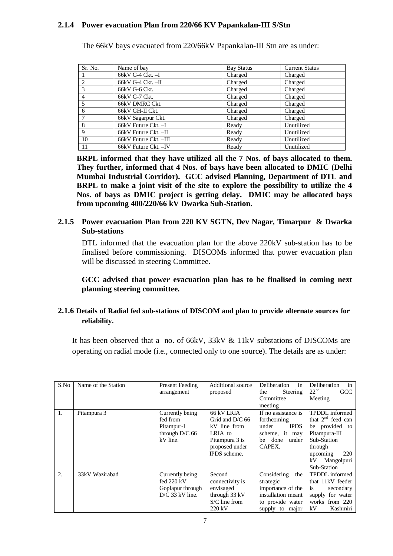#### **2.1.4 Power evacuation Plan from 220/66 KV Papankalan-III S/Stn**

| Sr. No. | Name of bay           | <b>Bay Status</b> | <b>Current Status</b> |
|---------|-----------------------|-------------------|-----------------------|
|         | 66kV G-4 Ckt. -I      | Charged           | Charged               |
| 2       | 66kV G-4 Ckt. --II    | Charged           | Charged               |
| 3       | 66kV G-6 Ckt.         | Charged           | Charged               |
| -4      | 66kV G-7 Ckt.         | Charged           | Charged               |
|         | 66kV DMRC Ckt.        | Charged           | Charged               |
| 6       | 66kV GH-II Ckt.       | Charged           | Charged               |
|         | 66kV Sagarpur Ckt.    | Charged           | Charged               |
| - 8     | 66kV Future Ckt. -I   | Ready             | Unutilized            |
| 9       | 66kV Future Ckt. -II  | Ready             | Unutilized            |
| 10      | 66kV Future Ckt. -III | Ready             | Unutilized            |
| -11     | 66kV Future Ckt. - IV | Ready             | Unutilized            |

The 66kV bays evacuated from 220/66kV Papankalan-III Stn are as under:

**BRPL informed that they have utilized all the 7 Nos. of bays allocated to them. They further, informed that 4 Nos. of bays have been allocated to DMIC (Delhi Mumbai Industrial Corridor). GCC advised Planning, Department of DTL and BRPL to make a joint visit of the site to explore the possibility to utilize the 4 Nos. of bays as DMIC project is getting delay. DMIC may be allocated bays from upcoming 400/220/66 kV Dwarka Sub-Station.**

#### **2.1.5 Power evacuation Plan from 220 KV SGTN, Dev Nagar, Timarpur & Dwarka Sub-stations**

DTL informed that the evacuation plan for the above 220kV sub-station has to be finalised before commissioning. DISCOMs informed that power evacuation plan will be discussed in steering Committee.

# **GCC advised that power evacuation plan has to be finalised in coming next planning steering committee.**

#### **2.1.6 Details of Radial fed sub-stations of DISCOM and plan to provide alternate sources for reliability.**

It has been observed that a no. of 66kV, 33kV & 11kV substations of DISCOMs are operating on radial mode (i.e., connected only to one source). The details are as under:

| S.No | Name of the Station | <b>Present Feeding</b><br>arrangement                                   | Additional source<br>proposed                                                                                | Deliberation<br>in<br>the<br>Steering<br>Committee                                                                    | in<br>Deliberation<br>22 <sup>nd</sup><br><b>GCC</b><br>Meeting                                                                                             |
|------|---------------------|-------------------------------------------------------------------------|--------------------------------------------------------------------------------------------------------------|-----------------------------------------------------------------------------------------------------------------------|-------------------------------------------------------------------------------------------------------------------------------------------------------------|
| 1.   | Pitampura 3         | Currently being<br>fed from<br>Pitampur-I<br>through D/C 66<br>kV line. | 66 kV LRIA<br>Grid and D/C 66<br>kV line from<br>LRIA to<br>Pitampura 3 is<br>proposed under<br>IPDS scheme. | meeting<br>If no assistance is<br>forthcoming<br><b>IPDS</b><br>under<br>scheme, it may<br>be done<br>under<br>CAPEX. | TPDDL informed<br>that $2nd$ feed can<br>be provided<br>to<br>Pitampura-III<br>Sub-Station<br>through<br>220<br>upcoming<br>kV<br>Mangolpuri<br>Sub-Station |
| 2.   | 33kV Wazirabad      | Currently being<br>fed 220 kV<br>Goplapur through<br>$D/C$ 33 kV line.  | Second<br>connectivity is<br>envisaged<br>through 33 kV<br>$S/C$ line from<br>$220 \text{ kV}$               | Considering<br>the<br>strategic<br>importance of the<br>installation meant<br>to provide water<br>supply to major     | <b>TPDDL</b> informed<br>that 11kV feeder<br>secondary<br><i>is</i><br>supply for water<br>works from 220<br>kV<br>Kashmiri                                 |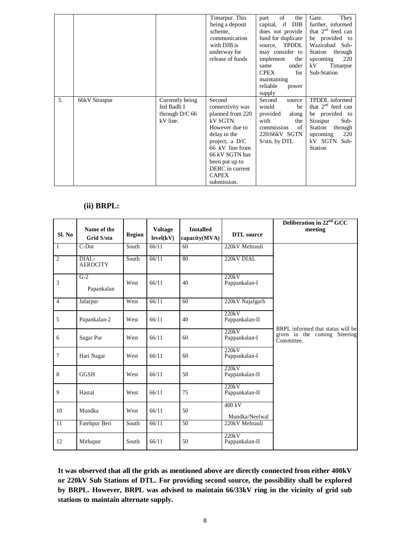|    |               |                                                                | Timarpur. This<br>being a deposit<br>scheme,<br>communication<br>with DJB is<br>underway for<br>release of funds                                                                                                        | of<br>the<br>part<br>capital, if DJB<br>does not provide<br>fund for duplicate<br>source, TPDDL<br>may consider to<br>implement<br>the<br>under<br>same<br>for<br><b>CPEX</b><br>maintaining<br>reliable<br>power<br>supply | They<br>Gate.<br>further, informed<br>that $2nd$ feed can<br>be provided to<br>Wazirabad Sub-<br>Station<br>through<br>upcoming<br>220<br>kV<br>Timarpur<br>Sub-Station |
|----|---------------|----------------------------------------------------------------|-------------------------------------------------------------------------------------------------------------------------------------------------------------------------------------------------------------------------|-----------------------------------------------------------------------------------------------------------------------------------------------------------------------------------------------------------------------------|-------------------------------------------------------------------------------------------------------------------------------------------------------------------------|
| 3. | 66kV Siraspur | Currently being<br>fed Badli I<br>through $D/C$ 66<br>kV line. | Second<br>connectivity was<br>planned from 220<br>kV SGTN.<br>However due to<br>delay in the<br>project, a D/C<br>66 kV line from<br>66 kV SGTN has<br>been put up to<br>DERC in current<br><b>CAPEX</b><br>submission. | Second<br>source<br>would<br>be<br>provided<br>along<br>with<br>the<br>commission<br>of<br>220/66kV SGTN<br>$Ssin$ by DTL                                                                                                   | TPDDL informed<br>that $2nd$ feed can<br>be provided to<br>Sub-<br>Siraspur<br>Station<br>through<br>220<br>upcoming<br>kV SGTN<br>$Sub-$<br><b>Station</b>             |

#### **(ii) BRPL:**

| Sl. No          | Name of the<br>Grid S/stn      | <b>Region</b> | <b>Voltage</b><br>level(kV) | <b>Installed</b><br>capacity(MVA) | <b>DTL</b> source        | Deliberation in 22 <sup>nd</sup> GCC<br>meeting                                 |
|-----------------|--------------------------------|---------------|-----------------------------|-----------------------------------|--------------------------|---------------------------------------------------------------------------------|
| $\mathbf{1}$    | $C-Dot$                        | South         | 66/11                       | 60                                | 220kV Mehrauli           |                                                                                 |
| $\overline{2}$  | DIAL-<br><b>AEROCITY</b>       | South         | 66/11                       | 80                                | 220kV DIAL               |                                                                                 |
| 3               | $\overline{G-2}$<br>Papankalan | West          | 66/11                       | 40                                | 220kV<br>Pappankalan-I   |                                                                                 |
| $\overline{4}$  | Jafarpur                       | West          | 66/11                       | 60                                | 220kV Najafgarh          |                                                                                 |
| 5               | Papankalan-2                   | West          | 66/11                       | 40                                | 220kV<br>Pappankalan-II  |                                                                                 |
| 6               | Sagar Pur                      | West          | 66/11                       | 60                                | 220kV<br>Pappankalan-I   | BRPL informed that status will be<br>given in the coming Steering<br>Committee. |
| $\overline{7}$  | Hari Nagar                     | West          | 66/11                       | 60                                | 220kV<br>Pappankalan-I   |                                                                                 |
| 8               | <b>GGSH</b>                    | West          | 66/11                       | 50                                | 220kV<br>Pappankalan-II  |                                                                                 |
| 9               | Hastal                         | West          | 66/11                       | 75                                | 220kV<br>Pappankalan-II  |                                                                                 |
| 10              | Mundka                         | West          | 66/11                       | 50                                | 400 kV<br>Mundka/Neelwal |                                                                                 |
| $\overline{11}$ | Fatehpur Beri                  | South         | 66/11                       | $\overline{50}$                   | 220kV Mehrauli           |                                                                                 |
| 12              | Mithapur                       | South         | 66/11                       | 50                                | 220kV<br>Pappankalan-II  |                                                                                 |

**It was observed that all the grids as mentioned above are directly connected from either 400kV or 220kV Sub Stations of DTL. For providing second source, the possibility shall be explored by BRPL. However, BRPL was advised to maintain 66/33kV ring in the vicinity of grid sub stations to maintain alternate supply.**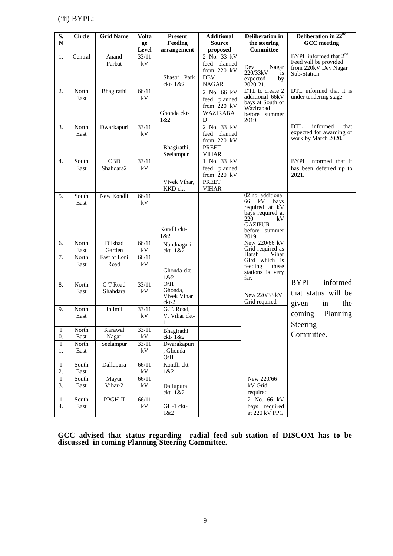(iii) BYPL:

| S.                    | <b>Circle</b> | <b>Grid Name</b>              | <b>Volta</b>      | <b>Present</b>                         | <b>Additional</b>                                                            | Deliberation in                                                                                                                      | Deliberation in 22 <sup>nd</sup>                                                            |
|-----------------------|---------------|-------------------------------|-------------------|----------------------------------------|------------------------------------------------------------------------------|--------------------------------------------------------------------------------------------------------------------------------------|---------------------------------------------------------------------------------------------|
| ${\bf N}$             |               |                               | ge                | Feeding                                | <b>Source</b>                                                                | the steering                                                                                                                         | <b>GCC</b> meeting                                                                          |
|                       |               |                               | Level             | arrangement                            | proposed                                                                     | <b>Committee</b>                                                                                                                     |                                                                                             |
| 1.                    | Central       | Anand<br>Parbat               | 33/11<br>kV       | Shastri Park<br>ckt-1&2                | 2 No. 33 kV<br>feed planned<br>from $220$ kV<br><b>DEV</b><br><b>NAGAR</b>   | Dev<br>Nagar<br>220/33kV<br>is<br>expected<br>by<br>$20\overline{2}0 - 21$ .                                                         | BYPL informed that $2^{nd}$<br>Feed will be provided<br>from 220kV Dev Nagar<br>Sub-Station |
| 2.                    | North<br>East | Bhagirathi                    | 66/11<br>kV       | Ghonda ckt-<br>1&2                     | 2 No. 66 kV<br>feed planned<br>from $220$ kV<br><b>WAZIRABA</b><br>D         | DTL to create 2<br>additional 66kV<br>bays at South of<br>Wazirabad<br>before summer<br>2019.                                        | DTL informed that it is<br>under tendering stage.                                           |
| 3.                    | North<br>East | Dwarkapuri                    | 33/11<br>kV       | Bhagirathi,<br>Seelampur               | 2 No. 33 kV<br>feed planned<br>from 220 kV<br><b>PREET</b><br><b>VIHAR</b>   |                                                                                                                                      | <b>DTL</b><br>informed<br>that<br>expected for awarding of<br>work by March 2020.           |
| 4.                    | South<br>East | $\overline{CBD}$<br>Shahdara2 | 33/11<br>kV       | Vivek Vihar,<br>KKD ckt                | 1 No. 33 kV<br>feed planned<br>from $220$ kV<br><b>PREET</b><br><b>VIHAR</b> |                                                                                                                                      | BYPL informed that it<br>has been deferred up to<br>2021.                                   |
| 5.                    | South<br>East | New Kondli                    | 66/11<br>kV       | Kondli ckt-<br>1 & 2                   |                                                                              | 02 no. additional<br>kV<br>66<br>bays<br>required at kV<br>bays required at<br>220<br>kV<br><b>GAZIPUR</b><br>before summer<br>2019. |                                                                                             |
| 6.                    | North<br>East | Dilshad<br>Garden             | 66/11<br>$\rm kV$ | Nandnagari<br>$k-1&2$                  |                                                                              | New 220/66 kV<br>Grid required as                                                                                                    |                                                                                             |
| 7.                    | North<br>East | East of Loni<br>Road          | 66/11<br>kV       | Ghonda ckt-<br>1&2                     |                                                                              | Harsh<br>Vihar<br>Gird which is<br>feeding<br>these<br>stations is very<br>far.                                                      |                                                                                             |
| 8.                    | North<br>East | G T Road<br>Shahdara          | 33/11<br>kV       | O/H<br>Ghonda.<br>Vivek Vihar<br>ckt-2 |                                                                              | New 220/33 kV<br>Grid required                                                                                                       | <b>BYPL</b><br>informed<br>that status will be<br>given<br>in<br>the                        |
| 9.                    | North<br>East | Jhilmil                       | 33/11<br>kV       | G.T. Road,<br>V. Vihar ckt-<br>1       |                                                                              |                                                                                                                                      | coming<br>Planning<br>Steering                                                              |
| 1<br>$\overline{0}$ . | North<br>East | Karawal<br>Nagar              | 33/11<br>$\rm kV$ | Bhagirathi<br>$ckt-1&2$                |                                                                              |                                                                                                                                      | Committee.                                                                                  |
| $\mathbf{1}$<br>1.    | North<br>East | Seelampur                     | 33/11<br>$\rm kV$ | Dwarakapuri<br>, Ghonda<br>$\rm O/H$   |                                                                              |                                                                                                                                      |                                                                                             |
| $\mathbf{1}$<br>2.    | South<br>East | Dallupura                     | 66/11<br>$\rm kV$ | Kondli ckt-<br>1&2                     |                                                                              |                                                                                                                                      |                                                                                             |
| $\mathbf{1}$<br>3.    | South<br>East | Mayur<br>Vihar-2              | 66/11<br>kV       | Dallupura<br>ckt- $1&82$               |                                                                              | New 220/66<br>kV Grid<br>required                                                                                                    |                                                                                             |
| $\mathbf{1}$<br>4.    | South<br>East | PPGH-II                       | 66/11<br>$\rm kV$ | GH-1 ckt-<br>1&2                       |                                                                              | $2$ No. 66 kV<br>bays required<br>at 220 kV PPG                                                                                      |                                                                                             |

**GCC advised that status regarding radial feed sub-station of DISCOM has to be discussed in coming Planning Steering Committee.**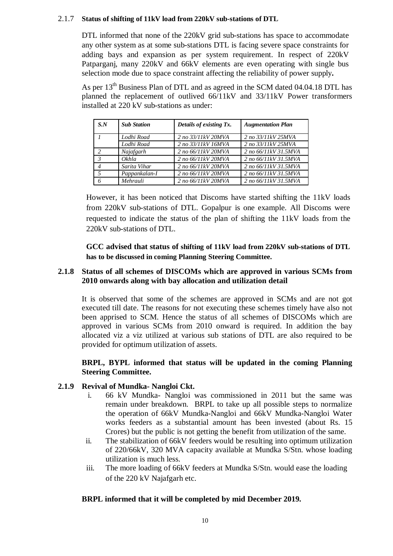#### 2.1.7 **Status of shifting of 11kV load from 220kV sub-stations of DTL**

DTL informed that none of the 220kV grid sub-stations has space to accommodate any other system as at some sub-stations DTL is facing severe space constraints for adding bays and expansion as per system requirement. In respect of 220kV Patparganj, many 220kV and 66kV elements are even operating with single bus selection mode due to space constraint affecting the reliability of power supply**.**

As per 13<sup>th</sup> Business Plan of DTL and as agreed in the SCM dated 04.04.18 DTL has planned the replacement of outlived 66/11kV and 33/11kV Power transformers installed at 220 kV sub-stations as under:

| $S_{N}$        | <b>Sub Station</b> | Details of existing Tx. | <b>Augmentation Plan</b> |
|----------------|--------------------|-------------------------|--------------------------|
|                | Lodhi Road         | 2 no 33/11kV 20MVA      | 2 no 33/11kV 25MVA       |
|                | Lodhi Road         | 2 no 33/11kV 16MVA      | 2 no 33/11kV 25MVA       |
| $\overline{c}$ | Najafgarh          | 2 no 66/11kV 20MVA      | 2 no 66/11kV 31.5MVA     |
| $\mathcal{E}$  | Okhla              | 2 no 66/11kV 20MVA      | 2 no 66/11kV 31.5MVA     |
| $\overline{4}$ | Sarita Vihar       | 2 no 66/11kV 20MVA      | 2 no 66/11kV 31.5MVA     |
| $\sqrt{2}$     | Pappankalan-I      | 2 no 66/11kV 20MVA      | 2 no 66/11kV 31.5MVA     |
| 6              | Mehrauli           | 2 no 66/11kV 20MVA      | 2 no 66/11kV 31.5MVA     |

However, it has been noticed that Discoms have started shifting the 11kV loads from 220kV sub-stations of DTL. Gopalpur is one example. All Discoms were requested to indicate the status of the plan of shifting the 11kV loads from the 220kV sub-stations of DTL.

**GCC advised that status of shifting of 11kV load from 220kV sub-stations of DTL has to be discussed in coming Planning Steering Committee.** 

#### **2.1.8 Status of all schemes of DISCOMs which are approved in various SCMs from 2010 onwards along with bay allocation and utilization detail**

It is observed that some of the schemes are approved in SCMs and are not got executed till date. The reasons for not executing these schemes timely have also not been apprised to SCM. Hence the status of all schemes of DISCOMs which are approved in various SCMs from 2010 onward is required. In addition the bay allocated viz a viz utilized at various sub stations of DTL are also required to be provided for optimum utilization of assets.

#### **BRPL, BYPL informed that status will be updated in the coming Planning Steering Committee.**

# **2.1.9 Revival of Mundka- Nangloi Ckt.**

- i. 66 kV Mundka- Nangloi was commissioned in 2011 but the same was remain under breakdown. BRPL to take up all possible steps to normalize the operation of 66kV Mundka-Nangloi and 66kV Mundka-Nangloi Water works feeders as a substantial amount has been invested (about Rs. 15 Crores) but the public is not getting the benefit from utilization of the same.
- ii. The stabilization of 66kV feeders would be resulting into optimum utilization of 220/66kV, 320 MVA capacity available at Mundka S/Stn. whose loading utilization is much less.
- iii. The more loading of 66kV feeders at Mundka S/Stn. would ease the loading of the 220 kV Najafgarh etc.

# **BRPL informed that it will be completed by mid December 2019.**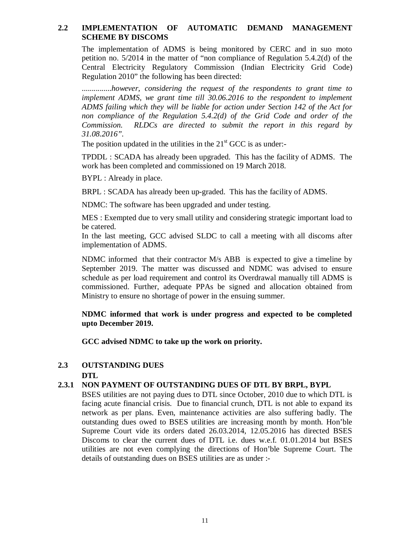#### **2.2 IMPLEMENTATION OF AUTOMATIC DEMAND MANAGEMENT SCHEME BY DISCOMS**

The implementation of ADMS is being monitored by CERC and in suo moto petition no. 5/2014 in the matter of "non compliance of Regulation 5.4.2(d) of the Central Electricity Regulatory Commission (Indian Electricity Grid Code) Regulation 2010" the following has been directed:

...............*however, considering the request of the respondents to grant time to implement ADMS, we grant time till 30.06.2016 to the respondent to implement ADMS failing which they will be liable for action under Section 142 of the Act for non compliance of the Regulation 5.4.2(d) of the Grid Code and order of the Commission. RLDCs are directed to submit the report in this regard by 31.08.2016".*

The position updated in the utilities in the  $21<sup>st</sup>$  GCC is as under:-

TPDDL : SCADA has already been upgraded. This has the facility of ADMS. The work has been completed and commissioned on 19 March 2018.

BYPL : Already in place.

BRPL : SCADA has already been up-graded. This has the facility of ADMS.

NDMC: The software has been upgraded and under testing.

MES : Exempted due to very small utility and considering strategic important load to be catered.

In the last meeting, GCC advised SLDC to call a meeting with all discoms after implementation of ADMS.

NDMC informed that their contractor M/s ABB is expected to give a timeline by September 2019. The matter was discussed and NDMC was advised to ensure schedule as per load requirement and control its Overdrawal manually till ADMS is commissioned. Further, adequate PPAs be signed and allocation obtained from Ministry to ensure no shortage of power in the ensuing summer.

# **NDMC informed that work is under progress and expected to be completed upto December 2019.**

**GCC advised NDMC to take up the work on priority.**

#### **2.3 OUTSTANDING DUES DTL**

# **2.3.1 NON PAYMENT OF OUTSTANDING DUES OF DTL BY BRPL, BYPL**

BSES utilities are not paying dues to DTL since October, 2010 due to which DTL is facing acute financial crisis. Due to financial crunch, DTL is not able to expand its network as per plans. Even, maintenance activities are also suffering badly. The outstanding dues owed to BSES utilities are increasing month by month. Hon'ble Supreme Court vide its orders dated 26.03.2014, 12.05.2016 has directed BSES Discoms to clear the current dues of DTL i.e. dues w.e.f. 01.01.2014 but BSES utilities are not even complying the directions of Hon'ble Supreme Court. The details of outstanding dues on BSES utilities are as under :-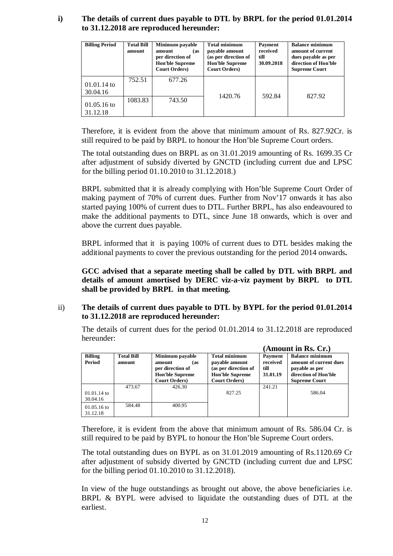# **i) The details of current dues payable to DTL by BRPL for the period 01.01.2014 to 31.12.2018 are reproduced hereunder:**

| <b>Billing Period</b>     | <b>Total Bill</b><br>amount | Minimum payable<br>amount<br>(as<br>per direction of<br><b>Hon'ble Supreme</b><br><b>Court Orders</b> ) | <b>Total minimum</b><br>payable amount<br>(as per direction of<br><b>Hon'ble Supreme</b><br><b>Court Orders</b> ) | Payment<br>received<br>till<br>30.09.2018 | <b>Balance minimum</b><br>amount of current<br>dues payable as per<br>direction of Hon'ble<br><b>Supreme Court</b> |
|---------------------------|-----------------------------|---------------------------------------------------------------------------------------------------------|-------------------------------------------------------------------------------------------------------------------|-------------------------------------------|--------------------------------------------------------------------------------------------------------------------|
| $01.01.14$ to<br>30.04.16 | 752.51                      | 677.26                                                                                                  |                                                                                                                   |                                           |                                                                                                                    |
| $01.05.16$ to<br>31.12.18 | 1083.83                     | 743.50                                                                                                  | 1420.76                                                                                                           | 592.84                                    | 827.92                                                                                                             |

Therefore, it is evident from the above that minimum amount of Rs. 827.92Cr. is still required to be paid by BRPL to honour the Hon'ble Supreme Court orders.

The total outstanding dues on BRPL as on 31.01.2019 amounting of Rs. 1699.35 Cr after adjustment of subsidy diverted by GNCTD (including current due and LPSC for the billing period 01.10.2010 to 31.12.2018.)

BRPL submitted that it is already complying with Hon'ble Supreme Court Order of making payment of 70% of current dues. Further from Nov'17 onwards it has also started paying 100% of current dues to DTL. Further BRPL, has also endeavoured to make the additional payments to DTL, since June 18 onwards, which is over and above the current dues payable.

BRPL informed that it is paying 100% of current dues to DTL besides making the additional payments to cover the previous outstanding for the period 2014 onwards**.** 

**GCC advised that a separate meeting shall be called by DTL with BRPL and details of amount amortised by DERC viz-a-viz payment by BRPL to DTL shall be provided by BRPL in that meeting.** 

# ii) **The details of current dues payable to DTL by BYPL for the period 01.01.2014 to 31.12.2018 are reproduced hereunder:**

The details of current dues for the period 01.01.2014 to 31.12.2018 are reproduced hereunder:

|                                 |                             |                                                                                                         |                                                                                                                   |                                         | (Amount in Rs. Cr.)                                                                                                |
|---------------------------------|-----------------------------|---------------------------------------------------------------------------------------------------------|-------------------------------------------------------------------------------------------------------------------|-----------------------------------------|--------------------------------------------------------------------------------------------------------------------|
| <b>Billing</b><br><b>Period</b> | <b>Total Bill</b><br>amount | Minimum payable<br>amount<br>(as<br>per direction of<br><b>Hon'ble Supreme</b><br><b>Court Orders</b> ) | <b>Total minimum</b><br>payable amount<br>(as per direction of<br><b>Hon'ble Supreme</b><br><b>Court Orders</b> ) | Payment<br>received<br>till<br>31.01.19 | <b>Balance minimum</b><br>amount of current dues<br>payable as per<br>direction of Hon'ble<br><b>Supreme Court</b> |
| $01.01.14$ to<br>30.04.16       | 473.67                      | 426.30                                                                                                  | 827.25                                                                                                            | 241.21                                  | 586.04                                                                                                             |
| $01.05.16$ to<br>31.12.18       | 584.48                      | 400.95                                                                                                  |                                                                                                                   |                                         |                                                                                                                    |

Therefore, it is evident from the above that minimum amount of Rs. 586.04 Cr. is still required to be paid by BYPL to honour the Hon'ble Supreme Court orders.

The total outstanding dues on BYPL as on 31.01.2019 amounting of Rs.1120.69 Cr after adjustment of subsidy diverted by GNCTD (including current due and LPSC for the billing period 01.10.2010 to 31.12.2018).

In view of the huge outstandings as brought out above, the above beneficiaries i.e. BRPL & BYPL were advised to liquidate the outstanding dues of DTL at the earliest.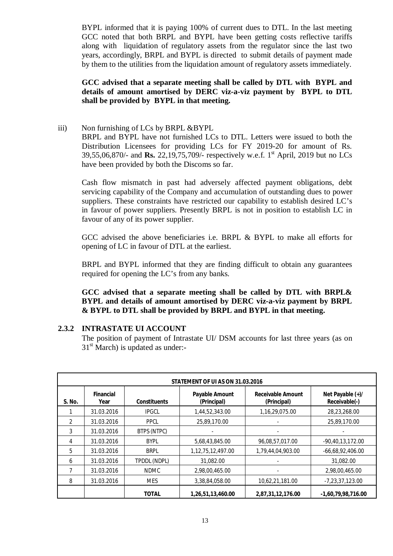BYPL informed that it is paying 100% of current dues to DTL. In the last meeting GCC noted that both BRPL and BYPL have been getting costs reflective tariffs along with liquidation of regulatory assets from the regulator since the last two years, accordingly, BRPL and BYPL is directed to submit details of payment made by them to the utilities from the liquidation amount of regulatory assets immediately.

# **GCC advised that a separate meeting shall be called by DTL with BYPL and details of amount amortised by DERC viz-a-viz payment by BYPL to DTL shall be provided by BYPL in that meeting.**

iii) Non furnishing of LCs by BRPL &BYPL BRPL and BYPL have not furnished LCs to DTL. Letters were issued to both the Distribution Licensees for providing LCs for FY 2019-20 for amount of Rs. 39,55,06,870/- and **Rs.** 22,19,75,709/- respectively w.e.f. 1st April, 2019 but no LCs have been provided by both the Discoms so far.

Cash flow mismatch in past had adversely affected payment obligations, debt servicing capability of the Company and accumulation of outstanding dues to power suppliers. These constraints have restricted our capability to establish desired LC's in favour of power suppliers. Presently BRPL is not in position to establish LC in favour of any of its power supplier.

GCC advised the above beneficiaries i.e. BRPL & BYPL to make all efforts for opening of LC in favour of DTL at the earliest.

BRPL and BYPL informed that they are finding difficult to obtain any guarantees required for opening the LC's from any banks.

**GCC advised that a separate meeting shall be called by DTL with BRPL& BYPL and details of amount amortised by DERC viz-a-viz payment by BRPL & BYPL to DTL shall be provided by BRPL and BYPL in that meeting.** 

# **2.3.2 INTRASTATE UI ACCOUNT**

The position of payment of Intrastate UI/ DSM accounts for last three years (as on  $31<sup>st</sup>$  March) is updated as under:-

|               |                          |                     | STATEMENT OF UI AS ON 31.03.2016     |                                         |                                   |
|---------------|--------------------------|---------------------|--------------------------------------|-----------------------------------------|-----------------------------------|
| S. No.        | <b>Financial</b><br>Year | <b>Constituents</b> | <b>Payable Amount</b><br>(Principal) | <b>Receivable Amount</b><br>(Principal) | Net Payable (+)/<br>Receivable(-) |
|               | 31.03.2016               | <b>IPGCL</b>        | 1,44,52,343.00                       | 1,16,29,075.00                          | 28,23,268.00                      |
| $\mathcal{P}$ | 31.03.2016               | <b>PPCL</b>         | 25,89,170.00                         |                                         | 25,89,170.00                      |
| 3             | 31.03.2016               | BTPS (NTPC)         |                                      |                                         |                                   |
| 4             | 31.03.2016               | <b>BYPL</b>         | 5,68,43,845.00                       | 96,08,57,017.00                         | $-90,40,13,172.00$                |
| 5             | 31.03.2016               | <b>BRPL</b>         | 1,12,75,12,497.00                    | 1,79,44,04,903.00                       | $-66,68,92,406.00$                |
| 6             | 31.03.2016               | TPDDL (NDPL)        | 31,082.00                            |                                         | 31,082.00                         |
| 7             | 31.03.2016               | <b>NDMC</b>         | 2,98,00,465.00                       |                                         | 2,98,00,465.00                    |
| 8             | 31.03.2016               | <b>MES</b>          | 3,38,84,058.00                       | 10,62,21,181.00                         | $-7,23,37,123.00$                 |
|               |                          | <b>TOTAL</b>        | 1,26,51,13,460.00                    | 2,87,31,12,176.00                       | $-1,60,79,98,716.00$              |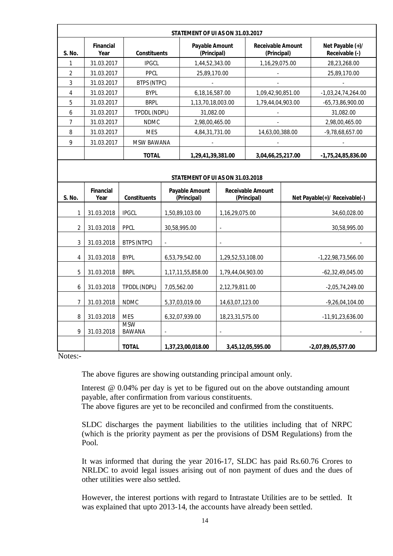|                | STATEMENT OF UI AS ON 31.03.2017 |                             |                     |                                      |                                                                                 |                                         |                      |                                    |
|----------------|----------------------------------|-----------------------------|---------------------|--------------------------------------|---------------------------------------------------------------------------------|-----------------------------------------|----------------------|------------------------------------|
| S. No.         | <b>Financial</b><br>Year         |                             | <b>Constituents</b> |                                      | <b>Payable Amount</b><br><b>Receivable Amount</b><br>(Principal)<br>(Principal) |                                         |                      | Net Payable (+)/<br>Receivable (-) |
| 1              | 31.03.2017                       | <b>IPGCL</b>                |                     | 1,44,52,343.00                       |                                                                                 | 1,16,29,075.00                          |                      | 28,23,268.00                       |
| $\overline{2}$ | 31.03.2017                       | <b>PPCL</b>                 |                     | 25,89,170.00                         |                                                                                 |                                         |                      | 25,89,170.00                       |
| 3              | 31.03.2017                       | BTPS (NTPC)                 |                     |                                      |                                                                                 |                                         |                      |                                    |
| 4              | 31.03.2017                       | <b>BYPL</b>                 |                     | 6,18,16,587.00                       |                                                                                 | 1,09,42,90,851.00                       |                      | $-1,03,24,74,264.00$               |
| 5              | 31.03.2017                       | <b>BRPL</b>                 |                     | 1,13,70,18,003.00                    |                                                                                 | 1,79,44,04,903.00                       |                      | $-65,73,86,900.00$                 |
| 6              | 31.03.2017                       | TPDDL (NDPL)                |                     | 31,082.00                            |                                                                                 |                                         |                      | 31,082.00                          |
| 7              | 31.03.2017                       | <b>NDMC</b>                 |                     | 2,98,00,465.00                       |                                                                                 |                                         |                      | 2,98,00,465.00                     |
| 8              | 31.03.2017                       | <b>MES</b>                  |                     | 4,84,31,731.00                       |                                                                                 | 14,63,00,388.00                         |                      | $-9,78,68,657.00$                  |
| 9              | 31.03.2017                       | <b>MSW BAWANA</b>           |                     |                                      |                                                                                 |                                         |                      |                                    |
|                |                                  | <b>TOTAL</b>                |                     | 1,29,41,39,381.00                    |                                                                                 | 3,04,66,25,217.00                       |                      | $-1,75,24,85,836.00$               |
|                | STATEMENT OF UI AS ON 31.03.2018 |                             |                     |                                      |                                                                                 |                                         |                      |                                    |
| S. No.         | <b>Financial</b><br>Year         | <b>Constituents</b>         |                     | <b>Payable Amount</b><br>(Principal) |                                                                                 | <b>Receivable Amount</b><br>(Principal) |                      | Net Payable(+)/ Receivable(-)      |
| $\mathbf{1}$   | 31.03.2018                       | <b>IPGCL</b>                |                     | 1,50,89,103.00                       | 1,16,29,075.00                                                                  |                                         |                      | 34,60,028.00                       |
| $\overline{2}$ | 31.03.2018                       | <b>PPCL</b>                 |                     | 30,58,995.00                         | $\omega$                                                                        |                                         |                      | 30,58,995.00                       |
| 3              | 31.03.2018                       | BTPS (NTPC)                 |                     |                                      |                                                                                 |                                         |                      |                                    |
| 4              | 31.03.2018                       | <b>BYPL</b>                 |                     | 6,53,79,542.00                       | 1,29,52,53,108.00                                                               |                                         | $-1,22,98,73,566.00$ |                                    |
| 5              | 31.03.2018                       | <b>BRPL</b>                 |                     | 1,17,11,55,858.00                    | 1,79,44,04,903.00                                                               |                                         |                      | $-62,32,49,045.00$                 |
| 6              | 31.03.2018                       | TPDDL (NDPL)                |                     | 7,05,562.00                          | 2,12,79,811.00                                                                  |                                         |                      | $-2,05,74,249.00$                  |
| $\overline{7}$ | 31.03.2018                       | <b>NDMC</b>                 |                     | 5,37,03,019.00                       | 14,63,07,123.00                                                                 |                                         |                      | $-9,26,04,104.00$                  |
| 8              | 31.03.2018                       | <b>MES</b>                  |                     | 6,32,07,939.00                       | 18,23,31,575.00                                                                 |                                         |                      | $-11,91,23,636.00$                 |
| 9              | 31.03.2018                       | <b>MSW</b><br><b>BAWANA</b> | ÷,                  |                                      | $\sim$                                                                          |                                         |                      |                                    |
|                |                                  | <b>TOTAL</b>                |                     | 1,37,23,00,018.00                    |                                                                                 | 3,45,12,05,595.00                       |                      | -2,07,89,05,577.00                 |

Notes:-

The above figures are showing outstanding principal amount only.

Interest @ 0.04% per day is yet to be figured out on the above outstanding amount payable, after confirmation from various constituents.

The above figures are yet to be reconciled and confirmed from the constituents.

SLDC discharges the payment liabilities to the utilities including that of NRPC (which is the priority payment as per the provisions of DSM Regulations) from the Pool.

It was informed that during the year 2016-17, SLDC has paid Rs.60.76 Crores to NRLDC to avoid legal issues arising out of non payment of dues and the dues of other utilities were also settled.

However, the interest portions with regard to Intrastate Utilities are to be settled. It was explained that upto 2013-14, the accounts have already been settled.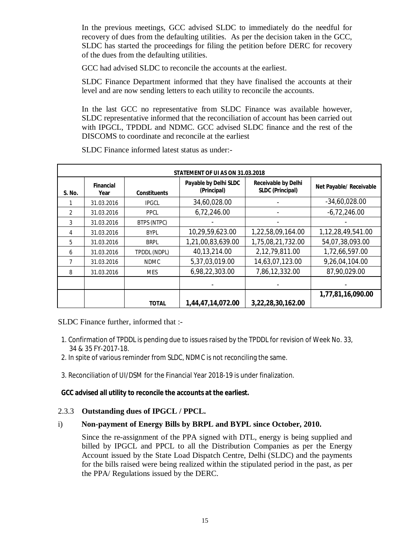In the previous meetings, GCC advised SLDC to immediately do the needful for recovery of dues from the defaulting utilities. As per the decision taken in the GCC, SLDC has started the proceedings for filing the petition before DERC for recovery of the dues from the defaulting utilities.

GCC had advised SLDC to reconcile the accounts at the earliest.

SLDC Finance Department informed that they have finalised the accounts at their level and are now sending letters to each utility to reconcile the accounts.

In the last GCC no representative from SLDC Finance was available however, SLDC representative informed that the reconciliation of account has been carried out with IPGCL, TPDDL and NDMC. GCC advised SLDC finance and the rest of the DISCOMS to coordinate and reconcile at the earliest

|                |                          |                     | <b>STATEMENT OF UI AS ON 31.03.2018</b> |                                                       |                         |
|----------------|--------------------------|---------------------|-----------------------------------------|-------------------------------------------------------|-------------------------|
| S. No.         | <b>Financial</b><br>Year | <b>Constituents</b> | Payable by Delhi SLDC<br>(Principal)    | <b>Receivable by Delhi</b><br><b>SLDC (Principal)</b> | Net Payable/ Receivable |
|                | 31.03.2016               | <b>IPGCL</b>        | 34,60,028.00                            |                                                       | $-34,60,028.00$         |
| $\mathfrak{D}$ | 31.03.2016               | <b>PPCL</b>         | 6,72,246.00                             |                                                       | $-6,72,246.00$          |
| 3              | 31.03.2016               | BTPS (NTPC)         |                                         |                                                       |                         |
| 4              | 31.03.2016               | <b>BYPL</b>         | 10,29,59,623.00                         | 1,22,58,09,164.00                                     | 1,12,28,49,541.00       |
| 5              | 31.03.2016               | <b>BRPL</b>         | 1,21,00,83,639.00                       | 1,75,08,21,732.00                                     | 54,07,38,093.00         |
| 6              | 31.03.2016               | TPDDL (NDPL)        | 40,13,214.00                            | 2,12,79,811.00                                        | 1,72,66,597.00          |
| 7              | 31.03.2016               | <b>NDMC</b>         | 5,37,03,019.00                          | 14,63,07,123.00                                       | 9,26,04,104.00          |
| 8              | 31.03.2016               | <b>MES</b>          | 6,98,22,303.00                          | 7,86,12,332.00                                        | 87,90,029.00            |
|                |                          |                     |                                         |                                                       |                         |
|                |                          |                     |                                         |                                                       | 1,77,81,16,090.00       |
|                |                          | <b>TOTAL</b>        | 1,44,47,14,072.00                       | 3,22,28,30,162.00                                     |                         |

SLDC Finance informed latest status as under:-

SLDC Finance further, informed that :-

- 1. Confirmation of TPDDL is pending due to issues raised by the TPDDL for revision of Week No. 33, 34 & 35 FY-2017-18.
- 2. In spite of various reminder from SLDC, NDMC is not reconciling the same.
- 3. Reconciliation of UI/DSM for the Financial Year 2018-19 is under finalization.

#### **GCC advised all utility to reconcile the accounts at the earliest.**

# 2.3.3 **Outstanding dues of IPGCL / PPCL.**

# i) **Non-payment of Energy Bills by BRPL and BYPL since October, 2010.**

Since the re-assignment of the PPA signed with DTL, energy is being supplied and billed by IPGCL and PPCL to all the Distribution Companies as per the Energy Account issued by the State Load Dispatch Centre, Delhi (SLDC) and the payments for the bills raised were being realized within the stipulated period in the past, as per the PPA/ Regulations issued by the DERC.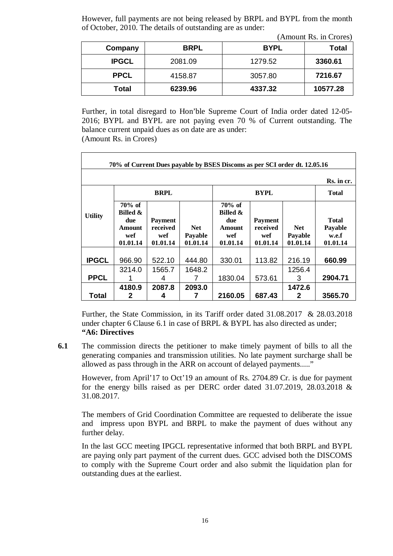However, full payments are not being released by BRPL and BYPL from the month of October, 2010. The details of outstanding are as under:

 $(\Lambda_{\text{mount}} P_{\text{S}} \text{ in } \text{Crora})$ 

| Company      | <b>BRPL</b> | <b>BYPL</b> | <b>Total</b> |
|--------------|-------------|-------------|--------------|
| <b>IPGCL</b> | 2081.09     | 1279.52     | 3360.61      |
| <b>PPCL</b>  | 4158.87     | 3057.80     | 7216.67      |
| <b>Total</b> | 6239.96     | 4337.32     | 10577.28     |

Further, in total disregard to Hon'ble Supreme Court of India order dated 12-05- 2016; BYPL and BYPL are not paying even 70 % of Current outstanding. The balance current unpaid dues as on date are as under: (Amount Rs. in Crores)

|                | 70% of Current Dues payable by BSES Discoms as per SCI order dt. 12.05.16   |                                               |                                   |                                                                      |                                               |                                   |                                              |
|----------------|-----------------------------------------------------------------------------|-----------------------------------------------|-----------------------------------|----------------------------------------------------------------------|-----------------------------------------------|-----------------------------------|----------------------------------------------|
|                |                                                                             |                                               |                                   |                                                                      |                                               |                                   | Rs. in cr.                                   |
|                |                                                                             | <b>BRPL</b>                                   |                                   |                                                                      | <b>BYPL</b>                                   |                                   | <b>Total</b>                                 |
| <b>Utility</b> | $70\%$ of<br><b>Billed &amp;</b><br>due<br><b>Amount</b><br>wef<br>01.01.14 | <b>Payment</b><br>received<br>wef<br>01.01.14 | <b>Net</b><br>Payable<br>01.01.14 | $70\%$ of<br><b>Billed &amp;</b><br>due<br>Amount<br>wef<br>01.01.14 | <b>Payment</b><br>received<br>wef<br>01.01.14 | <b>Net</b><br>Payable<br>01.01.14 | <b>Total</b><br>Payable<br>w.e.f<br>01.01.14 |
| <b>IPGCL</b>   | 966.90                                                                      | 522.10                                        | 444.80                            | 330.01                                                               | 113.82                                        | 216.19                            | 660.99                                       |
| <b>PPCL</b>    | 3214.0                                                                      | 1565.7<br>4                                   | 1648.2                            | 1830.04                                                              | 573.61                                        | 1256.4<br>3                       | 2904.71                                      |
| <b>Total</b>   | 4180.9<br>2                                                                 | 2087.8<br>4                                   | 2093.0                            | 2160.05                                                              | 687.43                                        | 1472.6<br>2                       | 3565.70                                      |

Further, the State Commission, in its Tariff order dated 31.08.2017 & 28.03.2018 under chapter 6 Clause 6.1 in case of BRPL & BYPL has also directed as under; **"A6: Directives**

**6.1** The commission directs the petitioner to make timely payment of bills to all the generating companies and transmission utilities. No late payment surcharge shall be allowed as pass through in the ARR on account of delayed payments....."

However, from April'17 to Oct'19 an amount of Rs. 2704.89 Cr. is due for payment for the energy bills raised as per DERC order dated 31.07.2019, 28.03.2018 & 31.08.2017.

The members of Grid Coordination Committee are requested to deliberate the issue and impress upon BYPL and BRPL to make the payment of dues without any further delay.

In the last GCC meeting IPGCL representative informed that both BRPL and BYPL are paying only part payment of the current dues. GCC advised both the DISCOMS to comply with the Supreme Court order and also submit the liquidation plan for outstanding dues at the earliest.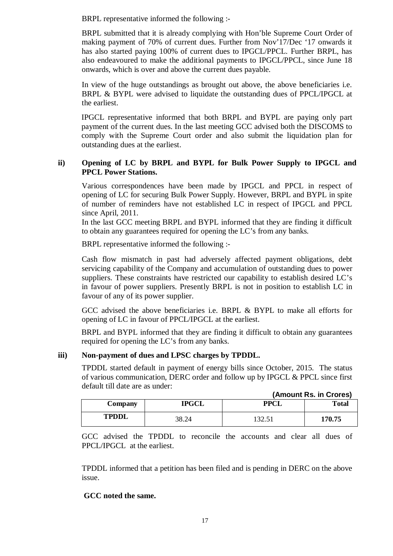BRPL representative informed the following :-

BRPL submitted that it is already complying with Hon'ble Supreme Court Order of making payment of 70% of current dues. Further from Nov'17/Dec '17 onwards it has also started paying 100% of current dues to IPGCL/PPCL. Further BRPL, has also endeavoured to make the additional payments to IPGCL/PPCL, since June 18 onwards, which is over and above the current dues payable.

In view of the huge outstandings as brought out above, the above beneficiaries i.e. BRPL & BYPL were advised to liquidate the outstanding dues of PPCL/IPGCL at the earliest.

IPGCL representative informed that both BRPL and BYPL are paying only part payment of the current dues. In the last meeting GCC advised both the DISCOMS to comply with the Supreme Court order and also submit the liquidation plan for outstanding dues at the earliest.

#### **ii) Opening of LC by BRPL and BYPL for Bulk Power Supply to IPGCL and PPCL Power Stations.**

Various correspondences have been made by IPGCL and PPCL in respect of opening of LC for securing Bulk Power Supply. However, BRPL and BYPL in spite of number of reminders have not established LC in respect of IPGCL and PPCL since April, 2011.

In the last GCC meeting BRPL and BYPL informed that they are finding it difficult to obtain any guarantees required for opening the LC's from any banks.

BRPL representative informed the following :-

Cash flow mismatch in past had adversely affected payment obligations, debt servicing capability of the Company and accumulation of outstanding dues to power suppliers. These constraints have restricted our capability to establish desired LC's in favour of power suppliers. Presently BRPL is not in position to establish LC in favour of any of its power supplier.

GCC advised the above beneficiaries i.e. BRPL & BYPL to make all efforts for opening of LC in favour of PPCL/IPGCL at the earliest.

BRPL and BYPL informed that they are finding it difficult to obtain any guarantees required for opening the LC's from any banks.

# **iii) Non-payment of dues and LPSC charges by TPDDL.**

TPDDL started default in payment of energy bills since October, 2015. The status of various communication, DERC order and follow up by IPGCL & PPCL since first default till date are as under:

| Company      | <b>IPGCL</b> | PPT                           | <b>Total</b> |
|--------------|--------------|-------------------------------|--------------|
| <b>TPDDL</b> | 38.24        | $\mathfrak{D}$<br>1 J 4 1 J 1 | 170.75       |

GCC advised the TPDDL to reconcile the accounts and clear all dues of PPCL/IPGCL at the earliest.

TPDDL informed that a petition has been filed and is pending in DERC on the above issue.

# **GCC noted the same.**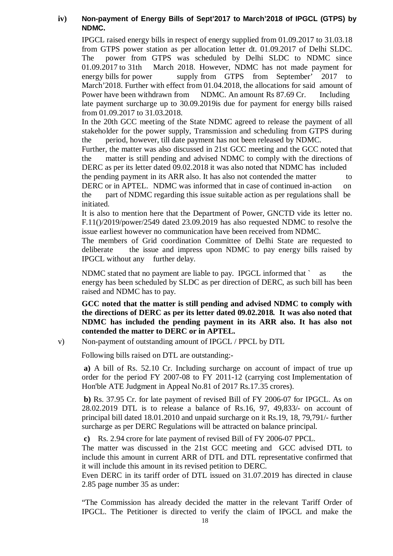# **iv) Non-payment of Energy Bills of Sept'2017 to March'2018 of IPGCL (GTPS) by NDMC.**

IPGCL raised energy bills in respect of energy supplied from 01.09.2017 to 31.03.18 from GTPS power station as per allocation letter dt. 01.09.2017 of Delhi SLDC. The power from GTPS was scheduled by Delhi SLDC to NDMC since 01.09.2017 to 31th March 2018. However, NDMC has not made payment for energy bills for power supply from GTPS from September' 2017 to March'2018. Further with effect from 01.04.2018, the allocations for said amount of Power have been withdrawn from NDMC. An amount Rs 87.69 Cr. Including late payment surcharge up to 30.09.2019is due for payment for energy bills raised from 01.09.2017 to 31.03.2018.

In the 20th GCC meeting of the State NDMC agreed to release the payment of all stakeholder for the power supply, Transmission and scheduling from GTPS during the period, however, till date payment has not been released by NDMC.

Further, the matter was also discussed in 21st GCC meeting and the GCC noted that the matter is still pending and advised NDMC to comply with the directions of DERC as per its letter dated 09.02.2018 it was also noted that NDMC has included

the pending payment in its ARR also. It has also not contended the matter to DERC or in APTEL. NDMC was informed that in case of continued in-action on the part of NDMC regarding this issue suitable action as per regulations shall be initiated.

It is also to mention here that the Department of Power, GNCTD vide its letter no. F.11()/2019/power/2549 dated 23.09.2019 has also requested NDMC to resolve the issue earliest however no communication have been received from NDMC.

The members of Grid coordination Committee of Delhi State are requested to deliberate the issue and impress upon NDMC to pay energy bills raised by IPGCL without any further delay.

NDMC stated that no payment are liable to pay. IPGCL informed that ` as the energy has been scheduled by SLDC as per direction of DERC, as such bill has been raised and NDMC has to pay.

**GCC noted that the matter is still pending and advised NDMC to comply with the directions of DERC as per its letter dated 09.02.2018. It was also noted that NDMC has included the pending payment in its ARR also. It has also not contended the matter to DERC or in APTEL.** 

v) Non-payment of outstanding amount of IPGCL / PPCL by DTL

Following bills raised on DTL are outstanding:-

 **a)** A bill of Rs. 52.10 Cr. Including surcharge on account of impact of true up order for the period FY 2007-08 to FY 2011-12 (carrying cost Implementation of Hon'ble ATE Judgment in Appeal No.81 of 2017 Rs.17.35 crores).

 **b)** Rs. 37.95 Cr. for late payment of revised Bill of FY 2006-07 for IPGCL. As on 28.02.2019 DTL is to release a balance of Rs.16, 97, 49,833/- on account of principal bill dated 18.01.2010 and unpaid surcharge on it Rs.19, 18, 79,791/- further surcharge as per DERC Regulations will be attracted on balance principal.

 **c)** Rs. 2.94 crore for late payment of revised Bill of FY 2006-07 PPCL.

The matter was discussed in the 21st GCC meeting and GCC advised DTL to include this amount in current ARR of DTL and DTL representative confirmed that it will include this amount in its revised petition to DERC.

Even DERC in its tariff order of DTL issued on 31.07.2019 has directed in clause 2.85 page number 35 as under:

"The Commission has already decided the matter in the relevant Tariff Order of IPGCL. The Petitioner is directed to verify the claim of IPGCL and make the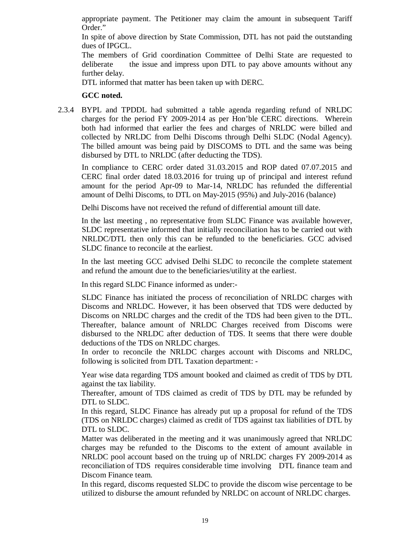appropriate payment. The Petitioner may claim the amount in subsequent Tariff Order."

In spite of above direction by State Commission, DTL has not paid the outstanding dues of IPGCL.

The members of Grid coordination Committee of Delhi State are requested to deliberate the issue and impress upon DTL to pay above amounts without any further delay.

DTL informed that matter has been taken up with DERC.

#### **GCC noted.**

2.3.4 BYPL and TPDDL had submitted a table agenda regarding refund of NRLDC charges for the period FY 2009-2014 as per Hon'ble CERC directions. Wherein both had informed that earlier the fees and charges of NRLDC were billed and collected by NRLDC from Delhi Discoms through Delhi SLDC (Nodal Agency). The billed amount was being paid by DISCOMS to DTL and the same was being disbursed by DTL to NRLDC (after deducting the TDS).

In compliance to CERC order dated 31.03.2015 and ROP dated 07.07.2015 and CERC final order dated 18.03.2016 for truing up of principal and interest refund amount for the period Apr-09 to Mar-14, NRLDC has refunded the differential amount of Delhi Discoms, to DTL on May-2015 (95%) and July-2016 (balance)

Delhi Discoms have not received the refund of differential amount till date.

In the last meeting , no representative from SLDC Finance was available however, SLDC representative informed that initially reconciliation has to be carried out with NRLDC/DTL then only this can be refunded to the beneficiaries. GCC advised SLDC finance to reconcile at the earliest.

In the last meeting GCC advised Delhi SLDC to reconcile the complete statement and refund the amount due to the beneficiaries/utility at the earliest.

In this regard SLDC Finance informed as under:-

SLDC Finance has initiated the process of reconciliation of NRLDC charges with Discoms and NRLDC. However, it has been observed that TDS were deducted by Discoms on NRLDC charges and the credit of the TDS had been given to the DTL. Thereafter, balance amount of NRLDC Charges received from Discoms were disbursed to the NRLDC after deduction of TDS. It seems that there were double deductions of the TDS on NRLDC charges.

In order to reconcile the NRLDC charges account with Discoms and NRLDC, following is solicited from DTL Taxation department: -

Year wise data regarding TDS amount booked and claimed as credit of TDS by DTL against the tax liability.

Thereafter, amount of TDS claimed as credit of TDS by DTL may be refunded by DTL to SLDC.

In this regard, SLDC Finance has already put up a proposal for refund of the TDS (TDS on NRLDC charges) claimed as credit of TDS against tax liabilities of DTL by DTL to SLDC.

Matter was deliberated in the meeting and it was unanimously agreed that NRLDC charges may be refunded to the Discoms to the extent of amount available in NRLDC pool account based on the truing up of NRLDC charges FY 2009-2014 as reconciliation of TDS requires considerable time involving DTL finance team and Discom Finance team.

In this regard, discoms requested SLDC to provide the discom wise percentage to be utilized to disburse the amount refunded by NRLDC on account of NRLDC charges.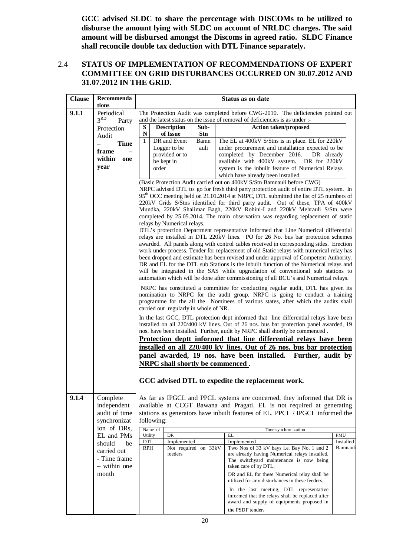**GCC advised SLDC to share the percentage with DISCOMs to be utilized to disburse the amount lying with SLDC on account of NRLDC charges. The said amount will be disbursed amongst the Discoms in agreed ratio. SLDC Finance shall reconcile double tax deduction with DTL Finance separately.**

#### 2.4 **STATUS OF IMPLEMENTATION OF RECOMMENDATIONS OF EXPERT COMMITTEE ON GRID DISTURBANCES OCCURRED ON 30.07.2012 AND 31.07.2012 IN THE GRID.**

| <b>Clause</b> | Recommenda<br>tions           | Status as on date                     |                                                                                                                                                                |                                                                                                                                                                  |           |  |  |  |
|---------------|-------------------------------|---------------------------------------|----------------------------------------------------------------------------------------------------------------------------------------------------------------|------------------------------------------------------------------------------------------------------------------------------------------------------------------|-----------|--|--|--|
|               |                               |                                       |                                                                                                                                                                |                                                                                                                                                                  |           |  |  |  |
| 9.1.1         | Periodical<br>3 <sup>RD</sup> |                                       |                                                                                                                                                                | The Protection Audit was completed before CWG-2010. The deficiencies pointed out<br>and the latest status on the issue of removal of deficiencies is as under :- |           |  |  |  |
|               | Party                         | s<br><b>Description</b>               | Sub-                                                                                                                                                           |                                                                                                                                                                  |           |  |  |  |
|               | Protection                    | ${\bf N}$<br>of Issue                 | <b>Stn</b>                                                                                                                                                     | <b>Action taken/proposed</b>                                                                                                                                     |           |  |  |  |
|               | Audit                         | $\mathbf{1}$<br>DR and Event          | Bamn                                                                                                                                                           | The EL at 400kV S/Stns is in place. EL for 220kV                                                                                                                 |           |  |  |  |
|               | <b>Time</b><br>$\equiv$       | Logger to be                          | auli                                                                                                                                                           | under procurement and installation expected to be                                                                                                                |           |  |  |  |
|               | frame                         | provided or to                        |                                                                                                                                                                | completed by December 2016.<br>DR already                                                                                                                        |           |  |  |  |
|               | within<br>one                 | be kept in                            |                                                                                                                                                                | available with 400kV system. DR for 220kV                                                                                                                        |           |  |  |  |
|               | year                          | order                                 |                                                                                                                                                                | system is the inbuilt feature of Numerical Relays                                                                                                                |           |  |  |  |
|               |                               |                                       |                                                                                                                                                                | which have already been installed.                                                                                                                               |           |  |  |  |
|               |                               |                                       |                                                                                                                                                                | (Basic Protection Audit carried out on 400kV S/Stn Bamnauli before CWG)                                                                                          |           |  |  |  |
|               |                               |                                       |                                                                                                                                                                | NRPC advised DTL to go for fresh third party protection audit of entire DTL system. In                                                                           |           |  |  |  |
|               |                               |                                       |                                                                                                                                                                | 95 <sup>th</sup> OCC meeting held on 21.01.2014 at NRPC, DTL submitted the list of 25 numbers of                                                                 |           |  |  |  |
|               |                               |                                       | 220kV Grids S/Stns identified for third party audit. Out of these, TPA of 400kV                                                                                |                                                                                                                                                                  |           |  |  |  |
|               |                               |                                       | Mundka, 220kV Shalimar Bagh, 220kV Rohini-I and 220kV Mehrauli S/Stn were<br>completed by 25.05.2014. The main observation was regarding replacement of static |                                                                                                                                                                  |           |  |  |  |
|               |                               | relays by Numerical relays.           |                                                                                                                                                                |                                                                                                                                                                  |           |  |  |  |
|               |                               |                                       |                                                                                                                                                                | DTL's protection Department representative informed that Line Numerical differential                                                                             |           |  |  |  |
|               |                               |                                       |                                                                                                                                                                | relays are installed in DTL 220kV lines. PO for 26 No. bus bar protection schemes                                                                                |           |  |  |  |
|               |                               |                                       |                                                                                                                                                                | awarded. All panels along with control cables received in corresponding sides. Erection                                                                          |           |  |  |  |
|               |                               |                                       |                                                                                                                                                                | work under process. Tender for replacement of old Static relays with numerical relay has                                                                         |           |  |  |  |
|               |                               |                                       |                                                                                                                                                                | been dropped and estimate has been revised and under approval of Competent Authority.                                                                            |           |  |  |  |
|               |                               |                                       |                                                                                                                                                                | DR and EL for the DTL sub Stations is the inbuilt function of the Numerical relays and                                                                           |           |  |  |  |
|               |                               |                                       |                                                                                                                                                                | will be integrated in the SAS while upgradation of conventional sub stations to                                                                                  |           |  |  |  |
|               |                               |                                       |                                                                                                                                                                | automation which will be done after commissioning of all BCU's and Numerical relays.                                                                             |           |  |  |  |
|               |                               |                                       |                                                                                                                                                                | NRPC has constituted a committee for conducting regular audit, DTL has given its                                                                                 |           |  |  |  |
|               |                               |                                       |                                                                                                                                                                | nomination to NRPC for the audit group. NRPC is going to conduct a training                                                                                      |           |  |  |  |
|               |                               |                                       |                                                                                                                                                                | programme for the all the Nominees of various states, after which the audits shall                                                                               |           |  |  |  |
|               |                               | carried out regularly in whole of NR. |                                                                                                                                                                |                                                                                                                                                                  |           |  |  |  |
|               |                               |                                       |                                                                                                                                                                | In the last GCC, DTL protection dept informed that line differential relays have been                                                                            |           |  |  |  |
|               |                               |                                       |                                                                                                                                                                | installed on all 220/400 kV lines. Out of 26 nos. bus bar protection panel awarded, 19                                                                           |           |  |  |  |
|               |                               |                                       |                                                                                                                                                                | nos. have been installed. Further, audit by NRPC shall shortly be commenced.                                                                                     |           |  |  |  |
|               |                               |                                       |                                                                                                                                                                | Protection deptt informed that line differential relays have been                                                                                                |           |  |  |  |
|               |                               |                                       |                                                                                                                                                                | installed on all 220/400 kV lines. Out of 26 nos. bus bar protection                                                                                             |           |  |  |  |
|               |                               |                                       |                                                                                                                                                                | panel awarded, 19 nos. have been installed.<br>Further, audit by                                                                                                 |           |  |  |  |
|               |                               | NRPC shall shortly be commenced.      |                                                                                                                                                                |                                                                                                                                                                  |           |  |  |  |
|               |                               |                                       |                                                                                                                                                                |                                                                                                                                                                  |           |  |  |  |
|               |                               |                                       |                                                                                                                                                                | GCC advised DTL to expedite the replacement work.                                                                                                                |           |  |  |  |
|               |                               |                                       |                                                                                                                                                                |                                                                                                                                                                  |           |  |  |  |
| 9.1.4         | Complete                      |                                       |                                                                                                                                                                | As far as IPGCL and PPCL systems are concerned, they informed that DR is                                                                                         |           |  |  |  |
|               | independent                   |                                       |                                                                                                                                                                | available at CCGT Bawana and Pragati. EL is not required at generating                                                                                           |           |  |  |  |
|               | audit of time                 |                                       |                                                                                                                                                                | stations as generators have inbuilt features of EL. PPCL / IPGCL informed the                                                                                    |           |  |  |  |
|               | synchronizat                  | following:                            |                                                                                                                                                                |                                                                                                                                                                  |           |  |  |  |
|               | ion of DRs,                   | Name of                               |                                                                                                                                                                | Time synchronization                                                                                                                                             |           |  |  |  |
|               | EL and PMs                    | Utility<br>DR                         |                                                                                                                                                                | EL                                                                                                                                                               | PMU       |  |  |  |
|               | should<br>be                  | DTL<br>Implemented                    |                                                                                                                                                                | Implemented                                                                                                                                                      | Installed |  |  |  |
|               | carried out                   | RPH                                   | Not required on 33kV                                                                                                                                           | Two Nos of 33 kV bays i.e. Bay No. 1 and 2                                                                                                                       | Bamnauli  |  |  |  |
|               | - Time frame                  | feeders                               |                                                                                                                                                                | are already having Numerical relays installed.<br>The switchyard maintenance is now being                                                                        |           |  |  |  |
|               | - within one                  |                                       |                                                                                                                                                                | taken care of by DTL.                                                                                                                                            |           |  |  |  |
|               | month                         |                                       |                                                                                                                                                                | DR and EL for these Numerical relay shall be                                                                                                                     |           |  |  |  |
|               |                               |                                       |                                                                                                                                                                | utilized for any disturbances in these feeders.                                                                                                                  |           |  |  |  |
|               |                               |                                       |                                                                                                                                                                | In the last meeting, DTL representative                                                                                                                          |           |  |  |  |
|               |                               |                                       |                                                                                                                                                                | informed that the relays shall be replaced after                                                                                                                 |           |  |  |  |
|               |                               |                                       |                                                                                                                                                                | award and supply of equipments proposed in                                                                                                                       |           |  |  |  |
|               |                               |                                       |                                                                                                                                                                | the PSDF tender.                                                                                                                                                 |           |  |  |  |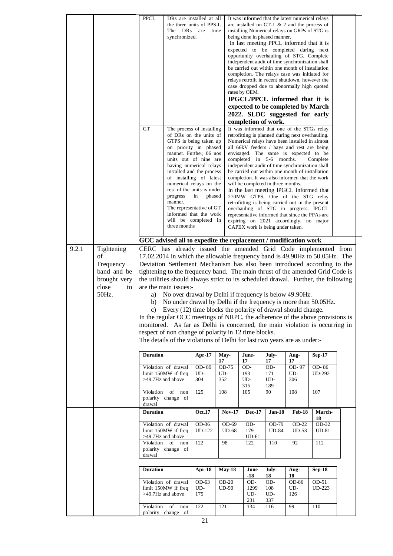|       |              | <b>PPCL</b>             |                                                                                    | DRs are installed at all<br>the three units of PPS-I. |                |                     | It was informed that the latest numerical relays                                                 |               |                   |  |
|-------|--------------|-------------------------|------------------------------------------------------------------------------------|-------------------------------------------------------|----------------|---------------------|--------------------------------------------------------------------------------------------------|---------------|-------------------|--|
|       |              |                         | The DRs                                                                            | are<br>time                                           |                |                     | are installed on GT-1 $\&$ 2 and the process of<br>installing Numerical relays on GRPs of STG is |               |                   |  |
|       |              |                         | synchronized.                                                                      |                                                       |                |                     | being done in phased manner.                                                                     |               |                   |  |
|       |              |                         |                                                                                    |                                                       |                |                     | In last meeting PPCL informed that it is                                                         |               |                   |  |
|       |              |                         |                                                                                    |                                                       |                |                     | expected to be completed during next                                                             |               |                   |  |
|       |              |                         |                                                                                    |                                                       |                |                     | opportunity overhauling of STG. Complete                                                         |               |                   |  |
|       |              |                         |                                                                                    |                                                       |                |                     | independent audit of time synchronization shall                                                  |               |                   |  |
|       |              |                         |                                                                                    |                                                       |                |                     | be carried out within one month of installation                                                  |               |                   |  |
|       |              |                         |                                                                                    |                                                       |                |                     | completion. The relays case was initiated for                                                    |               |                   |  |
|       |              |                         |                                                                                    |                                                       |                |                     | relays retrofit in recent shutdown, however the                                                  |               |                   |  |
|       |              |                         |                                                                                    |                                                       |                |                     | case dropped due to abnormally high quoted                                                       |               |                   |  |
|       |              |                         |                                                                                    |                                                       |                | rates by OEM.       |                                                                                                  |               |                   |  |
|       |              |                         |                                                                                    |                                                       |                |                     | IPGCL/PPCL informed that it is                                                                   |               |                   |  |
|       |              |                         |                                                                                    |                                                       |                |                     | expected to be completed by March                                                                |               |                   |  |
|       |              |                         |                                                                                    |                                                       |                |                     | 2022. SLDC suggested for early                                                                   |               |                   |  |
|       |              |                         |                                                                                    |                                                       |                | completion of work. |                                                                                                  |               |                   |  |
|       |              | <b>GT</b>               |                                                                                    | The process of installing                             |                |                     | It was informed that one of the STGs relay                                                       |               |                   |  |
|       |              |                         |                                                                                    | of DRs on the units of                                |                |                     | retrofitting is planned during next overhauling.                                                 |               |                   |  |
|       |              |                         |                                                                                    | GTPS is being taken up                                |                |                     | Numerical relays have been installed in almost                                                   |               |                   |  |
|       |              |                         |                                                                                    | on priority in phased                                 |                |                     | all 66kV feeders / bays and rest are being                                                       |               |                   |  |
|       |              |                         |                                                                                    | manner. Further, 06 nos                               |                |                     | envisaged. The same is expected to be                                                            |               |                   |  |
|       |              |                         |                                                                                    | units out of nine are<br>having numerical relays      |                |                     | completed in 5-6 months.<br>independent audit of time synchronization shall                      |               | Complete          |  |
|       |              |                         |                                                                                    | installed and the process                             |                |                     | be carried out within one month of installation                                                  |               |                   |  |
|       |              |                         |                                                                                    | of installing of latest                               |                |                     | completion. It was also informed that the work                                                   |               |                   |  |
|       |              |                         |                                                                                    | numerical relays on the                               |                |                     | will be completed in three months.                                                               |               |                   |  |
|       |              |                         |                                                                                    | rest of the units is under                            |                |                     | In the last meeting IPGCL informed that                                                          |               |                   |  |
|       |              |                         | progress                                                                           | phased<br>in                                          |                |                     | 270MW GTPS, One of the STG relay                                                                 |               |                   |  |
|       |              |                         | manner.                                                                            |                                                       |                |                     | retrofitting is being carried out in the present                                                 |               |                   |  |
|       |              |                         |                                                                                    | The representative of GT                              |                |                     | overhauling of STG in progress. IPGCL                                                            |               |                   |  |
|       |              |                         |                                                                                    | informed that the work<br>will be completed in        |                |                     | representative informed that since the PPAs are                                                  |               |                   |  |
|       |              |                         | three months                                                                       |                                                       |                |                     | expiring on 2021 accordingly, no major<br>CAPEX work is being under taken.                       |               |                   |  |
|       |              |                         |                                                                                    |                                                       |                |                     |                                                                                                  |               |                   |  |
|       |              |                         | GCC advised all to expedite the replacement / modification work                    |                                                       |                |                     |                                                                                                  |               |                   |  |
| 9.2.1 | Tightening   |                         | CERC has already issued the amended Grid Code implemented from                     |                                                       |                |                     |                                                                                                  |               |                   |  |
|       | of           |                         |                                                                                    |                                                       |                |                     |                                                                                                  |               |                   |  |
|       |              |                         | 17.02.2014 in which the allowable frequency band is 49.90Hz to 50.05Hz. The        |                                                       |                |                     |                                                                                                  |               |                   |  |
|       | Frequency    |                         | Deviation Settlement Mechanism has also been introduced according to the           |                                                       |                |                     |                                                                                                  |               |                   |  |
|       | band and be  |                         | tightening to the frequency band. The main thrust of the amended Grid Code is      |                                                       |                |                     |                                                                                                  |               |                   |  |
|       |              |                         |                                                                                    |                                                       |                |                     |                                                                                                  |               |                   |  |
|       | brought very |                         | the utilities should always strict to its scheduled drawal. Further, the following |                                                       |                |                     |                                                                                                  |               |                   |  |
|       | close<br>to  |                         | are the main issues:-                                                              |                                                       |                |                     |                                                                                                  |               |                   |  |
|       | 50Hz.        | a)                      | No over drawal by Delhi if frequency is below 49.90Hz.                             |                                                       |                |                     |                                                                                                  |               |                   |  |
|       |              | b)                      | No under drawal by Delhi if the frequency is more than 50.05Hz.                    |                                                       |                |                     |                                                                                                  |               |                   |  |
|       |              |                         | c) Every (12) time blocks the polarity of drawal should change.                    |                                                       |                |                     |                                                                                                  |               |                   |  |
|       |              |                         | In the regular OCC meetings of NRPC, the adherence of the above provisions is      |                                                       |                |                     |                                                                                                  |               |                   |  |
|       |              |                         |                                                                                    |                                                       |                |                     |                                                                                                  |               |                   |  |
|       |              |                         | monitored. As far as Delhi is concerned, the main violation is occurring in        |                                                       |                |                     |                                                                                                  |               |                   |  |
|       |              |                         | respect of non change of polarity in 12 time blocks.                               |                                                       |                |                     |                                                                                                  |               |                   |  |
|       |              |                         | The details of the violations of Delhi for last two years are as under:-           |                                                       |                |                     |                                                                                                  |               |                   |  |
|       |              | <b>Duration</b>         |                                                                                    |                                                       |                | June-               | July-                                                                                            | Aug-          |                   |  |
|       |              |                         |                                                                                    | Apr-17                                                | May-<br>17     | 17                  | 17                                                                                               | 17            | <b>Sep-17</b>     |  |
|       |              |                         | Violation of drawal                                                                | OD-89                                                 | OD-75          | OD-                 | OD-                                                                                              | OD-97         | OD-86             |  |
|       |              |                         | limit 150MW if freq                                                                | UD-                                                   | UD-            | 193                 | 171                                                                                              | UD-           | <b>UD-292</b>     |  |
|       |              | $\geq$ 49.7Hz and above |                                                                                    | 304                                                   | 352            | UD-                 | UD-                                                                                              | 306           |                   |  |
|       |              |                         |                                                                                    |                                                       |                | 315                 | 189                                                                                              |               |                   |  |
|       |              | Violation               | of<br>non                                                                          | 125                                                   | 108            | 105                 | 90                                                                                               | 108           | 107               |  |
|       |              | drawal                  | polarity change of                                                                 |                                                       |                |                     |                                                                                                  |               |                   |  |
|       |              | <b>Duration</b>         |                                                                                    |                                                       |                | <b>Dec-17</b>       | Jan-18                                                                                           | <b>Feb-18</b> | March-            |  |
|       |              |                         |                                                                                    | <b>Oct.17</b>                                         | Nov-17         |                     |                                                                                                  |               | 18                |  |
|       |              |                         | Violation of drawal                                                                | OD-36                                                 | OD-69          | OD-                 | OD-79                                                                                            | OD-22         | OD-32             |  |
|       |              |                         | limit 150MW if freq                                                                | UD-122                                                | UD-68          | 179                 | UD-84                                                                                            | $UD-53$       | UD-81             |  |
|       |              |                         | $\geq$ 49.7Hz and above                                                            |                                                       |                | UD-61               |                                                                                                  |               |                   |  |
|       |              | Violation of            | non                                                                                | 122                                                   | 98             | 122                 | 110                                                                                              | 92            | 112               |  |
|       |              |                         | polarity change of                                                                 |                                                       |                |                     |                                                                                                  |               |                   |  |
|       |              | drawal                  |                                                                                    |                                                       |                |                     |                                                                                                  |               |                   |  |
|       |              | <b>Duration</b>         |                                                                                    | Apr-18                                                | <b>May-18</b>  | June                | July-                                                                                            | Aug-          | <b>Sep-18</b>     |  |
|       |              |                         |                                                                                    |                                                       |                | $-18$               | 18                                                                                               | 18            |                   |  |
|       |              |                         | Violation of drawal<br>limit 150MW if freq                                         | OD-63<br>UD-                                          | OD-20<br>UD-90 | OD-<br>1299         | OD-<br>108                                                                                       | OD-86<br>UD-  | OD-51<br>$UD-223$ |  |
|       |              |                         | >49.7Hz and above                                                                  | 175                                                   |                | UD-                 | UD-                                                                                              | 126           |                   |  |
|       |              |                         |                                                                                    |                                                       |                | 231                 | 337                                                                                              |               |                   |  |
|       |              | Violation               | of<br>non<br>polarity change of                                                    | 122                                                   | 121            | 134                 | 116                                                                                              | 99            | 110               |  |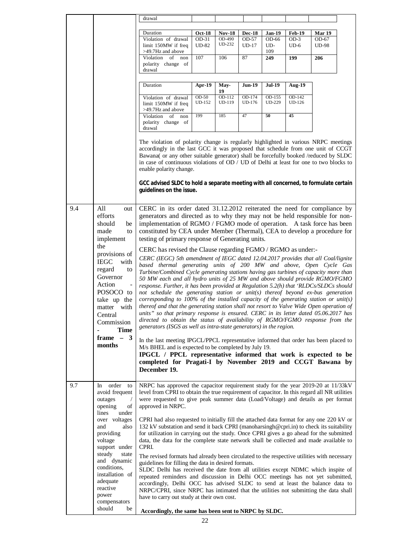|     |                                                                                                                                                                                                                                                                  | drawal                                                                                                                                                                                                                                                                                                                                                                                                                                                                                                                                                                                                                                                                                                                                                                                                                                                                                                                                                                                                                                                                                                                                                                                                                                                                                                                                                                                                                                                                                                                                                                                                                                                                                 |                                        |                                   |                                   |                                      |                                   |                                        |  |
|-----|------------------------------------------------------------------------------------------------------------------------------------------------------------------------------------------------------------------------------------------------------------------|----------------------------------------------------------------------------------------------------------------------------------------------------------------------------------------------------------------------------------------------------------------------------------------------------------------------------------------------------------------------------------------------------------------------------------------------------------------------------------------------------------------------------------------------------------------------------------------------------------------------------------------------------------------------------------------------------------------------------------------------------------------------------------------------------------------------------------------------------------------------------------------------------------------------------------------------------------------------------------------------------------------------------------------------------------------------------------------------------------------------------------------------------------------------------------------------------------------------------------------------------------------------------------------------------------------------------------------------------------------------------------------------------------------------------------------------------------------------------------------------------------------------------------------------------------------------------------------------------------------------------------------------------------------------------------------|----------------------------------------|-----------------------------------|-----------------------------------|--------------------------------------|-----------------------------------|----------------------------------------|--|
|     |                                                                                                                                                                                                                                                                  |                                                                                                                                                                                                                                                                                                                                                                                                                                                                                                                                                                                                                                                                                                                                                                                                                                                                                                                                                                                                                                                                                                                                                                                                                                                                                                                                                                                                                                                                                                                                                                                                                                                                                        |                                        |                                   |                                   |                                      |                                   |                                        |  |
|     |                                                                                                                                                                                                                                                                  | Duration<br>Violation of drawal<br>limit 150MW if freq<br>>49.7Hz and above                                                                                                                                                                                                                                                                                                                                                                                                                                                                                                                                                                                                                                                                                                                                                                                                                                                                                                                                                                                                                                                                                                                                                                                                                                                                                                                                                                                                                                                                                                                                                                                                            | <b>Oct-18</b><br>OD-31<br><b>UD-82</b> | <b>Nov-18</b><br>OD-490<br>UD-232 | <b>Dec-18</b><br>OD-57<br>$UD-17$ | <b>Jan-19</b><br>OD-66<br>UD-<br>109 | <b>Feb-19</b><br>$OD-3$<br>$UD-6$ | <b>Mar 19</b><br>OD-67<br><b>UD-98</b> |  |
|     |                                                                                                                                                                                                                                                                  | Violation<br>of<br>non<br>polarity change of<br>drawal                                                                                                                                                                                                                                                                                                                                                                                                                                                                                                                                                                                                                                                                                                                                                                                                                                                                                                                                                                                                                                                                                                                                                                                                                                                                                                                                                                                                                                                                                                                                                                                                                                 | 107                                    | 106                               | 87                                | 249                                  | 199                               | 206                                    |  |
|     |                                                                                                                                                                                                                                                                  | Duration                                                                                                                                                                                                                                                                                                                                                                                                                                                                                                                                                                                                                                                                                                                                                                                                                                                                                                                                                                                                                                                                                                                                                                                                                                                                                                                                                                                                                                                                                                                                                                                                                                                                               | Apr-19                                 | May-<br>19                        | <b>Jun-19</b>                     | <b>Jul-19</b>                        | <b>Aug-19</b>                     |                                        |  |
|     |                                                                                                                                                                                                                                                                  | Violation of drawal<br>limit 150MW if freq<br>>49.7Hz and above                                                                                                                                                                                                                                                                                                                                                                                                                                                                                                                                                                                                                                                                                                                                                                                                                                                                                                                                                                                                                                                                                                                                                                                                                                                                                                                                                                                                                                                                                                                                                                                                                        | $OD-50$<br>UD-152                      | OD-112<br>UD-119                  | $OD-174$<br>UD-176                | OD-155<br><b>UD-229</b>              | $OD-142$<br><b>UD-126</b>         |                                        |  |
|     |                                                                                                                                                                                                                                                                  | Violation<br>of<br>non<br>polarity change of<br>drawal                                                                                                                                                                                                                                                                                                                                                                                                                                                                                                                                                                                                                                                                                                                                                                                                                                                                                                                                                                                                                                                                                                                                                                                                                                                                                                                                                                                                                                                                                                                                                                                                                                 | 199                                    | 185                               | 47                                | 50                                   | 45                                |                                        |  |
|     |                                                                                                                                                                                                                                                                  | The violation of polarity change is regularly highlighted in various NRPC meetings<br>accordingly in the last GCC it was proposed that schedule from one unit of CCGT<br>Bawana( or any other suitable generator) shall be forcefully booked /reduced by SLDC<br>in case of continuous violations of OD / UD of Delhi at least for one to two blocks to<br>enable polarity change.<br>GCC advised SLDC to hold a separate meeting with all concerned, to formulate certain<br>guidelines on the issue.                                                                                                                                                                                                                                                                                                                                                                                                                                                                                                                                                                                                                                                                                                                                                                                                                                                                                                                                                                                                                                                                                                                                                                                 |                                        |                                   |                                   |                                      |                                   |                                        |  |
| 9.4 | All<br>out<br>efforts<br>should<br>be<br>made<br>to<br>implement<br>the<br>provisions of<br><b>IEGC</b><br>with<br>regard<br>to<br>Governor<br>Action<br>POSOCO to<br>take up the<br>matter with<br>Central<br>Commission<br><b>Time</b><br>frame $-3$<br>months | CERC in its order dated 31.12.2012 reiterated the need for compliance by<br>generators and directed as to why they may not be held responsible for non-<br>implementation of RGMO / FGMO mode of operation. A task force has been<br>constituted by CEA under Member (Thermal), CEA to develop a procedure for<br>testing of primary response of Generating units.<br>CERC has revised the Clause regarding FGMO / RGMO as under:-<br>CERC (IEGC) 5th amendment of IEGC dated 12.04.2017 provides that all Coal/lignite<br>based thermal generating units of 200 MW and above, Open Cycle Gas<br>Turbine/Combined Cycle generating stations having gas turbines of capacity more than<br>50 MW each and all hydro units of 25 MW and above should provide RGMO/FGMO<br>response. Further, it has been provided at Regulation 5.2(h) that 'RLDCs/SLDCs should<br>not schedule the generating station or unit(s) thereof beyond $ex$ -bus generation<br>corresponding to 100% of the installed capacity of the generating station or unit(s)<br>thereof and that the generating station shall not resort to Valve Wide Open operation of<br>units" so that primary response is ensured. CERC in its letter dated 05.06.2017 has<br>directed to obtain the status of availability of RGMO/FGMO response from the<br>generators (ISGS as well as intra-state generators) in the region.<br>In the last meeting IPGCL/PPCL representative informed that order has been placed to<br>M/s BHEL and is expected to be completed by July 19.<br>IPGCL / PPCL representative informed that work is expected to be<br>completed for Pragati-I by November 2019 and CCGT Bawana by<br>December 19. |                                        |                                   |                                   |                                      |                                   |                                        |  |
| 9.7 | order<br>In.<br>to<br>avoid frequent<br>$\overline{1}$<br>outages<br>opening<br>of<br>lines<br>under<br>over voltages<br>also<br>and<br>providing<br>voltage<br>support under<br>steady<br>state                                                                 | NRPC has approved the capacitor requirement study for the year 2019-20 at 11/33kV<br>level from CPRI to obtain the true requirement of capacitor. In this regard all NR utilities<br>were requested to give peak summer data (Load/Voltage) and details as per format<br>approved in NRPC.<br>CPRI had also requested to initially fill the attached data format for any one 220 kV or<br>132 kV substation and send it back CPRI (manoharsingh@cpri.in) to check its suitability<br>for utilization in carrying out the study. Once CPRI gives a go ahead for the submitted<br>data, the data for the complete state network shall be collected and made available to<br>CPRI.<br>The revised formats had already been circulated to the respective utilities with necessary                                                                                                                                                                                                                                                                                                                                                                                                                                                                                                                                                                                                                                                                                                                                                                                                                                                                                                          |                                        |                                   |                                   |                                      |                                   |                                        |  |
|     | and dynamic<br>conditions,<br>installation of<br>adequate<br>reactive<br>power<br>compensators<br>should<br>be                                                                                                                                                   | guidelines for filling the data in desired formats.<br>SLDC Delhi has received the date from all utilities except NDMC which inspite of<br>repeated reminders and discussion in Delhi OCC meetings has not yet submitted,<br>accordingly, Delhi OCC has advised SLDC to send at least the balance data to<br>NRPC/CPRI, since NRPC has intimated that the utilities not submitting the data shall<br>have to carry out study at their own cost.<br>Accordingly, the same has been sent to NRPC by SLDC.                                                                                                                                                                                                                                                                                                                                                                                                                                                                                                                                                                                                                                                                                                                                                                                                                                                                                                                                                                                                                                                                                                                                                                                |                                        |                                   |                                   |                                      |                                   |                                        |  |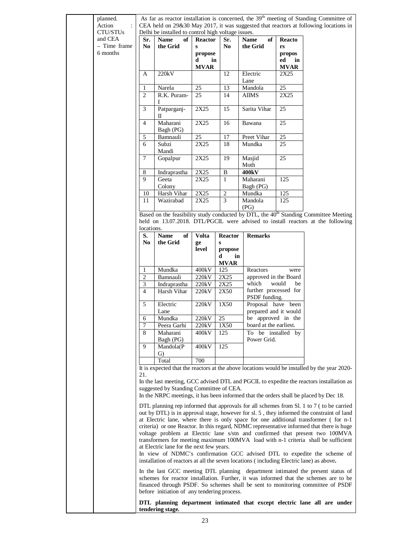| planned.<br>Action |                         |                                                                                         |                |                        |                                              |                 | As far as reactor installation is concerned, the 39 <sup>th</sup> meeting of Standing Committee of<br>CEA held on 29&30 May 2017, it was suggested that reactors at following locations in |
|--------------------|-------------------------|-----------------------------------------------------------------------------------------|----------------|------------------------|----------------------------------------------|-----------------|--------------------------------------------------------------------------------------------------------------------------------------------------------------------------------------------|
| CTU/STUs           |                         | Delhi be installed to control high voltage issues.                                      |                |                        |                                              |                 |                                                                                                                                                                                            |
| and CEA            | Sr.                     | <b>Name</b><br>of                                                                       | <b>Reactor</b> | Sr.                    | of<br><b>Name</b>                            | <b>Reacto</b>   |                                                                                                                                                                                            |
|                    | - Time frame<br>No      | the Grid                                                                                | $\bf{s}$       | No.                    | the Grid                                     | rs              |                                                                                                                                                                                            |
| 6 months           |                         |                                                                                         | propose        |                        |                                              | propos          |                                                                                                                                                                                            |
|                    |                         |                                                                                         | in<br>d        |                        |                                              | ed<br>in        |                                                                                                                                                                                            |
|                    |                         |                                                                                         | <b>MVAR</b>    |                        |                                              | <b>MVAR</b>     |                                                                                                                                                                                            |
|                    | А                       | 220kV                                                                                   |                | 12                     | Electric<br>Lane                             | 2X25            |                                                                                                                                                                                            |
|                    | 1                       | Narela                                                                                  | 25             | 13                     | Mandola                                      | 25              |                                                                                                                                                                                            |
|                    | $\overline{2}$          | R.K. Puram-<br>I                                                                        | 25             | 14                     | AIIMS                                        | 2X25            |                                                                                                                                                                                            |
|                    | 3                       | Patparganj-<br>П                                                                        | 2X25           | 15                     | Sarita Vihar                                 | 25              |                                                                                                                                                                                            |
|                    | $\overline{4}$          | Maharani<br>Bagh (PG)                                                                   | 2X25           | 16                     | Bawana                                       | $\overline{25}$ |                                                                                                                                                                                            |
|                    | 5                       | Bamnauli                                                                                | 25             | 17                     | Preet Vihar                                  | 25              |                                                                                                                                                                                            |
|                    | 6                       | Subzi                                                                                   | 2X25           | 18                     | Mundka                                       | 25              |                                                                                                                                                                                            |
|                    |                         | Mandi                                                                                   |                |                        |                                              |                 |                                                                                                                                                                                            |
|                    | 7                       | Gopalpur                                                                                | 2X25           | 19                     | Masjid<br>Moth                               | 25              |                                                                                                                                                                                            |
|                    | $\,$ 8 $\,$             | Indraprastha                                                                            | 2X25           | $\, {\bf B}$           | 400kV                                        |                 |                                                                                                                                                                                            |
|                    | 9                       | Geeta                                                                                   | 2X25           | $\mathbf{1}$           | Maharani                                     | 125             |                                                                                                                                                                                            |
|                    |                         | Colony                                                                                  |                |                        | Bagh (PG)                                    |                 |                                                                                                                                                                                            |
|                    | 10                      | Harsh Vihar                                                                             | 2X25           | $\sqrt{2}$             | Mundka                                       | 125             |                                                                                                                                                                                            |
|                    | 11                      | Wazirabad                                                                               | 2X25           | 3                      | Mandola<br>(PG)                              | 125             |                                                                                                                                                                                            |
|                    |                         |                                                                                         |                |                        |                                              |                 | Based on the feasibility study conducted by DTL, the 40 <sup>th</sup> Standing Committee Meeting                                                                                           |
|                    |                         |                                                                                         |                |                        |                                              |                 | held on 13.07.2018. DTL/PGCIL were advised to install reactors at the following                                                                                                            |
|                    | locations.              |                                                                                         |                |                        |                                              |                 |                                                                                                                                                                                            |
|                    | S.                      | of<br><b>Name</b>                                                                       | <b>Volta</b>   | <b>Reactor</b>         | <b>Remarks</b>                               |                 |                                                                                                                                                                                            |
|                    | No                      | the Grid                                                                                | ge             | S                      |                                              |                 |                                                                                                                                                                                            |
|                    |                         |                                                                                         | level          | propose                |                                              |                 |                                                                                                                                                                                            |
|                    |                         |                                                                                         |                | in<br>d<br><b>MVAR</b> |                                              |                 |                                                                                                                                                                                            |
|                    | 1                       | Mundka                                                                                  | 400kV          | 125                    | Reactors                                     | were            |                                                                                                                                                                                            |
|                    | $\overline{\mathbf{c}}$ | Bamnauli                                                                                | 220kV          | 2X25                   | approved in the Board                        |                 |                                                                                                                                                                                            |
|                    | 3<br>$\overline{4}$     | Indraprastha                                                                            | 220kV          | 2X25                   | which<br>further processed for               | would<br>be     |                                                                                                                                                                                            |
|                    |                         | Harsh Vihar                                                                             | 220kV          | 2X50                   | PSDF funding.                                |                 |                                                                                                                                                                                            |
|                    | 5                       | Electric                                                                                | 220kV          | 1X50                   | Proposal have been                           |                 |                                                                                                                                                                                            |
|                    |                         | Lane                                                                                    |                |                        | prepared and it would                        |                 |                                                                                                                                                                                            |
|                    | 6<br>7                  | Mundka<br>Peera Garhi                                                                   | 220kV<br>220kV | 25<br>1X50             | be approved in the<br>board at the earliest. |                 |                                                                                                                                                                                            |
|                    | 8                       | Maharani                                                                                | 400kV          | 125                    | To be installed by                           |                 |                                                                                                                                                                                            |
|                    |                         | Bagh (PG)                                                                               |                |                        | Power Grid.                                  |                 |                                                                                                                                                                                            |
|                    | 9                       | Mandola(P<br>G)                                                                         | 400kV          | 125                    |                                              |                 |                                                                                                                                                                                            |
|                    |                         | Total                                                                                   | 700            |                        |                                              |                 |                                                                                                                                                                                            |
|                    |                         |                                                                                         |                |                        |                                              |                 | It is expected that the reactors at the above locations would be installed by the year 2020-                                                                                               |
|                    | 21.                     |                                                                                         |                |                        |                                              |                 |                                                                                                                                                                                            |
|                    |                         | suggested by Standing Committee of CEA.                                                 |                |                        |                                              |                 | In the last meeting, GCC advised DTL and PGCIL to expedite the reactors installation as                                                                                                    |
|                    |                         |                                                                                         |                |                        |                                              |                 | In the NRPC meetings, it has been informed that the orders shall be placed by Dec 18.                                                                                                      |
|                    |                         |                                                                                         |                |                        |                                              |                 | DTL planning rep informed that approvals for all schemes from Sl. 1 to 7 (to be carried<br>out by DTL) is in approval stage, however for sl. 5, they informed the constraint of land       |
|                    |                         |                                                                                         |                |                        |                                              |                 | at Electric lane, where there is only space for one additional transformer (for n-1                                                                                                        |
|                    |                         |                                                                                         |                |                        |                                              |                 | criteria) or one Reactor. In this regard, NDMC representative informed that there is huge                                                                                                  |
|                    |                         |                                                                                         |                |                        |                                              |                 | voltage problem at Electric lane s/stn and confirmed that present two 100MVA                                                                                                               |
|                    |                         |                                                                                         |                |                        |                                              |                 | transformers for meeting maximum 100MVA load with n-1 criteria shall be sufficient                                                                                                         |
|                    |                         | at Electric lane for the next few years.                                                |                |                        |                                              |                 |                                                                                                                                                                                            |
|                    |                         | installation of reactors at all the seven locations (including Electric lane) as above. |                |                        |                                              |                 | In view of NDMC's confirmation GCC advised DTL to expedite the scheme of                                                                                                                   |
|                    |                         |                                                                                         |                |                        |                                              |                 | In the last GCC meeting DTL planning department intimated the present status of                                                                                                            |
|                    |                         |                                                                                         |                |                        |                                              |                 | schemes for reactor installation. Further, it was informed that the schemes are to be                                                                                                      |
|                    |                         | before initiation of any tendering process.                                             |                |                        |                                              |                 | financed through PSDF. So schemes shall be sent to monitoring committee of PSDF                                                                                                            |
|                    |                         | tendering stage.                                                                        |                |                        |                                              |                 | DTL planning department intimated that except electric lane all are under                                                                                                                  |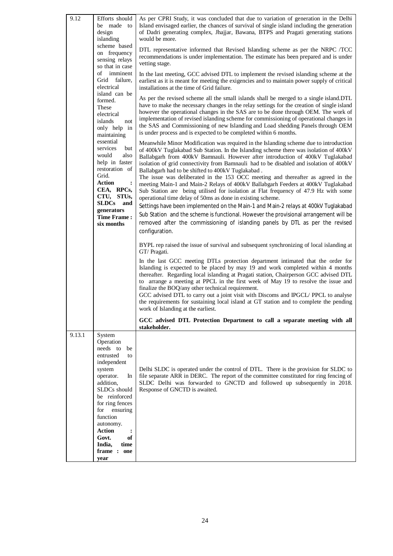| 9.12   | Efforts should<br>be made to<br>design<br>islanding<br>scheme based<br>on frequency<br>sensing relays<br>so that in case<br>οf<br>imminent<br>Grid failure,<br>electrical<br>island can be<br>formed.<br>These<br>electrical<br>islands<br>not<br>only help in<br>maintaining<br>essential<br>services<br>but<br>would<br>also<br>help in faster<br>restoration of<br>Grid.<br>Action<br>$\ddot{\cdot}$<br>CEA, RPCs,<br>CTU, STUs,<br>SLDCs and<br>generators<br><b>Time Frame:</b><br>six months | As per CPRI Study, it was concluded that due to variation of generation in the Delhi<br>Island envisaged earlier, the chances of survival of single island including the generation<br>of Dadri generating complex, Jhajjar, Bawana, BTPS and Pragati generating stations<br>would be more.<br>DTL representative informed that Revised Islanding scheme as per the NRPC /TCC<br>recommendations is under implementation. The estimate has been prepared and is under<br>vetting stage.<br>In the last meeting, GCC advised DTL to implement the revised islanding scheme at the<br>earliest as it is meant for meeting the exigencies and to maintain power supply of critical<br>installations at the time of Grid failure.<br>As per the revised scheme all the small islands shall be merged to a single island. DTL<br>have to make the necessary changes in the relay settings for the creation of single island<br>however the operational changes in the SAS are to be done through OEM. The work of<br>implementation of revised islanding scheme for commissioning of operational changes in<br>the SAS and Commissioning of new Islanding and Load shedding Panels through OEM<br>is under process and is expected to be completed within 6 months.<br>Meanwhile Minor Modification was required in the Islanding scheme due to introduction<br>of 400kV Tuglakabad Sub Station. In the Islanding scheme there was isolation of 400kV<br>Ballabgarh from 400kV Bamnauli. However after introduction of 400kV Tuglakabad<br>isolation of grid connectivity from Bamnauli had to be disabled and isolation of 400kV<br>Ballabgarh had to be shifted to 400kV Tuglakabad.<br>The issue was deliberated in the 153 OCC meeting and thereafter as agreed in the<br>meeting Main-1 and Main-2 Relays of 400kV Ballabgarh Feeders at 400kV Tuglakabad<br>Sub Station are being utilised for isolation at Flat frequency of 47.9 Hz with some<br>operational time delay of 50ms as done in existing scheme.<br>Settings have been implemented on the Main-1 and Main-2 relays at 400kV Tuglakabad<br>Sub Station and the scheme is functional. However the provisional arrangement will be<br>removed after the commissioning of islanding panels by DTL as per the revised<br>configuration.<br>BYPL rep raised the issue of survival and subsequent synchronizing of local islanding at<br>GT/ Pragati.<br>In the last GCC meeting DTLs protection department intimated that the order for<br>Islanding is expected to be placed by may 19 and work completed within 4 months<br>thereafter. Regarding local islanding at Pragati station, Chairperson GCC advised DTL<br>to arrange a meeting at PPCL in the first week of May 19 to resolve the issue and<br>finalize the BOQ/any other technical requirement. |
|--------|----------------------------------------------------------------------------------------------------------------------------------------------------------------------------------------------------------------------------------------------------------------------------------------------------------------------------------------------------------------------------------------------------------------------------------------------------------------------------------------------------|-----------------------------------------------------------------------------------------------------------------------------------------------------------------------------------------------------------------------------------------------------------------------------------------------------------------------------------------------------------------------------------------------------------------------------------------------------------------------------------------------------------------------------------------------------------------------------------------------------------------------------------------------------------------------------------------------------------------------------------------------------------------------------------------------------------------------------------------------------------------------------------------------------------------------------------------------------------------------------------------------------------------------------------------------------------------------------------------------------------------------------------------------------------------------------------------------------------------------------------------------------------------------------------------------------------------------------------------------------------------------------------------------------------------------------------------------------------------------------------------------------------------------------------------------------------------------------------------------------------------------------------------------------------------------------------------------------------------------------------------------------------------------------------------------------------------------------------------------------------------------------------------------------------------------------------------------------------------------------------------------------------------------------------------------------------------------------------------------------------------------------------------------------------------------------------------------------------------------------------------------------------------------------------------------------------------------------------------------------------------------------------------------------------------------------------------------------------------------------------------------------------------------------------------------------------------------------------------------------------------------------------------------------------------------------------------------------------------------------------------------------------------------------------------------------------------------|
|        |                                                                                                                                                                                                                                                                                                                                                                                                                                                                                                    | GCC advised DTL to carry out a joint visit with Discoms and IPGCL/ PPCL to analyse<br>the requirements for sustaining local island at GT station and to complete the pending<br>work of Islanding at the earliest.                                                                                                                                                                                                                                                                                                                                                                                                                                                                                                                                                                                                                                                                                                                                                                                                                                                                                                                                                                                                                                                                                                                                                                                                                                                                                                                                                                                                                                                                                                                                                                                                                                                                                                                                                                                                                                                                                                                                                                                                                                                                                                                                                                                                                                                                                                                                                                                                                                                                                                                                                                                                    |
|        |                                                                                                                                                                                                                                                                                                                                                                                                                                                                                                    | GCC advised DTL Protection Department to call a separate meeting with all<br>stakeholder.                                                                                                                                                                                                                                                                                                                                                                                                                                                                                                                                                                                                                                                                                                                                                                                                                                                                                                                                                                                                                                                                                                                                                                                                                                                                                                                                                                                                                                                                                                                                                                                                                                                                                                                                                                                                                                                                                                                                                                                                                                                                                                                                                                                                                                                                                                                                                                                                                                                                                                                                                                                                                                                                                                                             |
| 9.13.1 | System<br>Operation<br>needs to<br>be<br>entrusted<br>to<br>independent<br>system<br>operator.<br>In<br>addition,<br>SLDCs should<br>be reinforced<br>for ring fences<br>for ensuring<br>function<br>autonomy.<br><b>Action</b><br>:<br>Govt.<br>of<br>India,<br>time<br>frame: one<br>year                                                                                                                                                                                                        | Delhi SLDC is operated under the control of DTL. There is the provision for SLDC to<br>file separate ARR in DERC. The report of the committee constituted for ring fencing of<br>SLDC Delhi was forwarded to GNCTD and followed up subsequently in 2018.<br>Response of GNCTD is awaited.                                                                                                                                                                                                                                                                                                                                                                                                                                                                                                                                                                                                                                                                                                                                                                                                                                                                                                                                                                                                                                                                                                                                                                                                                                                                                                                                                                                                                                                                                                                                                                                                                                                                                                                                                                                                                                                                                                                                                                                                                                                                                                                                                                                                                                                                                                                                                                                                                                                                                                                             |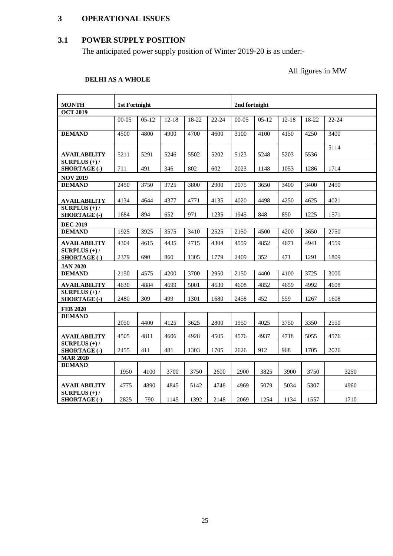# **3 OPERATIONAL ISSUES**

# **3.1 POWER SUPPLY POSITION**

The anticipated power supply position of Winter 2019-20 is as under:-

All figures in MW

# **DELHI AS A WHOLE**

| <b>MONTH</b>                           | <b>1st Fortnight</b> |         |           |       |       | 2nd fortnight |         |           |       |           |
|----------------------------------------|----------------------|---------|-----------|-------|-------|---------------|---------|-----------|-------|-----------|
| <b>OCT 2019</b>                        |                      |         |           |       |       |               |         |           |       |           |
|                                        | $00 - 05$            | $05-12$ | $12 - 18$ | 18-22 | 22-24 | $00-05$       | $05-12$ | $12 - 18$ | 18-22 | $22 - 24$ |
| <b>DEMAND</b>                          | 4500                 | 4800    | 4900      | 4700  | 4600  | 3100          | 4100    | 4150      | 4250  | 3400      |
| <b>AVAILABILITY</b>                    | 5211                 | 5291    | 5246      | 5502  | 5202  | 5123          | 5248    | 5203      | 5536  | 5114      |
| $SURPLUS (+) /$<br><b>SHORTAGE (-)</b> | 711                  | 491     | 346       | 802   | 602   | 2023          | 1148    | 1053      | 1286  | 1714      |
| <b>NOV 2019</b>                        |                      |         |           |       |       |               |         |           |       |           |
| <b>DEMAND</b>                          | 2450                 | 3750    | 3725      | 3800  | 2900  | 2075          | 3650    | 3400      | 3400  | 2450      |
| <b>AVAILABILITY</b>                    | 4134                 | 4644    | 4377      | 4771  | 4135  | 4020          | 4498    | 4250      | 4625  | 4021      |
| SURPLUS $(+)$ /<br><b>SHORTAGE (-)</b> | 1684                 | 894     | 652       | 971   | 1235  | 1945          | 848     | 850       | 1225  | 1571      |
| <b>DEC 2019</b>                        |                      |         |           |       |       |               |         |           |       |           |
| <b>DEMAND</b>                          | 1925                 | 3925    | 3575      | 3410  | 2525  | 2150          | 4500    | 4200      | 3650  | 2750      |
| <b>AVAILABILITY</b>                    | 4304                 | 4615    | 4435      | 4715  | 4304  | 4559          | 4852    | 4671      | 4941  | 4559      |
| SURPLUS $(+)$ /<br>SHORTAGE (-)        | 2379                 | 690     | 860       | 1305  | 1779  | 2409          | 352     | 471       | 1291  | 1809      |
| <b>JAN 2020</b>                        |                      |         |           |       |       |               |         |           |       |           |
| <b>DEMAND</b>                          | 2150                 | 4575    | 4200      | 3700  | 2950  | 2150          | 4400    | 4100      | 3725  | 3000      |
| <b>AVAILABILITY</b>                    | 4630                 | 4884    | 4699      | 5001  | 4630  | 4608          | 4852    | 4659      | 4992  | 4608      |
| SURPLUS $(+)$ /<br>SHORTAGE (-)        | 2480                 | 309     | 499       | 1301  | 1680  | 2458          | 452     | 559       | 1267  | 1608      |
| <b>FEB 2020</b>                        |                      |         |           |       |       |               |         |           |       |           |
| <b>DEMAND</b>                          | 2050                 | 4400    | 4125      | 3625  | 2800  | 1950          | 4025    | 3750      | 3350  | 2550      |
| <b>AVAILABILITY</b>                    | 4505                 | 4811    | 4606      | 4928  | 4505  | 4576          | 4937    | 4718      | 5055  | 4576      |
| SURPLUS $(+)$ /<br><b>SHORTAGE (-)</b> | 2455                 | 411     | 481       | 1303  | 1705  | 2626          | 912     | 968       | 1705  | 2026      |
| <b>MAR 2020</b>                        |                      |         |           |       |       |               |         |           |       |           |
| <b>DEMAND</b>                          | 1950                 | 4100    | 3700      | 3750  | 2600  | 2900          | 3825    | 3900      | 3750  | 3250      |
| <b>AVAILABILITY</b>                    | 4775                 | 4890    | 4845      | 5142  | 4748  | 4969          | 5079    | 5034      | 5307  | 4960      |
| SURPLUS $(+)$ /<br><b>SHORTAGE (-)</b> | 2825                 | 790     | 1145      | 1392  | 2148  | 2069          | 1254    | 1134      | 1557  | 1710      |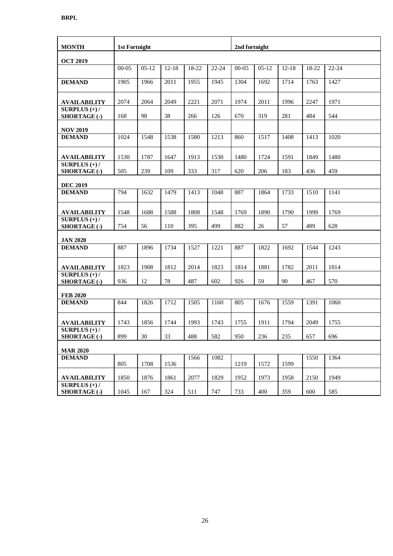| <b>MONTH</b>                                                 | <b>1st Fortnight</b> |         |           |       |       | 2nd fortnight |         |           |       |           |
|--------------------------------------------------------------|----------------------|---------|-----------|-------|-------|---------------|---------|-----------|-------|-----------|
| <b>OCT 2019</b>                                              |                      |         |           |       |       |               |         |           |       |           |
|                                                              | $00-05$              | $05-12$ | $12 - 18$ | 18-22 | 22-24 | $00 - 05$     | $05-12$ | $12 - 18$ | 18-22 | $22 - 24$ |
| <b>DEMAND</b>                                                | 1905                 | 1966    | 2011      | 1955  | 1945  | 1304          | 1692    | 1714      | 1763  | 1427      |
| <b>AVAILABILITY</b>                                          | 2074                 | 2064    | 2049      | 2221  | 2071  | 1974          | 2011    | 1996      | 2247  | 1971      |
| SURPLUS $(+)$ /<br>SHORTAGE (-)                              | 168                  | 98      | 38        | 266   | 126   | 670           | 319     | 281       | 484   | 544       |
| <b>NOV 2019</b>                                              |                      |         |           |       |       |               |         |           |       |           |
| <b>DEMAND</b>                                                | 1024                 | 1548    | 1538      | 1580  | 1213  | 860           | 1517    | 1408      | 1413  | 1020      |
| <b>AVAILABILITY</b>                                          | 1530                 | 1787    | 1647      | 1913  | 1530  | 1480          | 1724    | 1591      | 1849  | 1480      |
| SURPLUS $(+)$ /<br>SHORTAGE (-)                              | 505                  | 239     | 109       | 333   | 317   | 620           | 206     | 183       | 436   | 459       |
| <b>DEC 2019</b>                                              |                      |         |           |       |       |               |         |           |       |           |
| <b>DEMAND</b>                                                | 794                  | 1632    | 1479      | 1413  | 1048  | 887           | 1864    | 1733      | 1510  | 1141      |
| <b>AVAILABILITY</b>                                          | 1548                 | 1688    | 1588      | 1808  | 1548  | 1769          | 1890    | 1790      | 1999  | 1769      |
| $\overline{\text{SURPLUS}}(+)$ /<br>SHORTAGE (-)             | 754                  | 56      | 110       | 395   | 499   | 882           | 26      | 57        | 489   | 628       |
| <b>JAN 2020</b>                                              |                      |         |           |       |       |               |         |           |       |           |
| <b>DEMAND</b>                                                | 887                  | 1896    | 1734      | 1527  | 1221  | 887           | 1822    | 1692      | 1544  | 1243      |
| <b>AVAILABILITY</b>                                          | 1823                 | 1908    | 1812      | 2014  | 1823  | 1814          | 1881    | 1782      | 2011  | 1814      |
| SURPLUS $(+)$ /<br><b>SHORTAGE (-)</b>                       | 936                  | 12      | $78\,$    | 487   | 602   | 926           | 59      | 90        | 467   | 570       |
| <b>FEB 2020</b>                                              |                      |         |           |       |       |               |         |           |       |           |
| <b>DEMAND</b>                                                | 844                  | 1826    | 1712      | 1505  | 1160  | 805           | 1676    | 1559      | 1391  | 1060      |
| <b>AVAILABILITY</b>                                          | 1743                 | 1856    | 1744      | 1993  | 1743  | 1755          | 1911    | 1794      | 2049  | 1755      |
| $\overline{\textbf{SURPLUS}}$ $(+)$ /<br><b>SHORTAGE (-)</b> | 899                  | 30      | 33        | 488   | 582   | 950           | 236     | 235       | 657   | 696       |
| <b>MAR 2020</b>                                              |                      |         |           |       |       |               |         |           |       |           |
| <b>DEMAND</b>                                                | 805                  | 1708    | 1536      | 1566  | 1082  | 1219          | 1572    | 1599      | 1550  | 1364      |
| <b>AVAILABILITY</b>                                          | 1850                 | 1876    | 1861      | 2077  | 1829  | 1952          | 1973    | 1958      | 2150  | 1949      |
| SURPLUS $(+)$ /<br><b>SHORTAGE (-)</b>                       | 1045                 | 167     | 324       | 511   | 747   | 733           | 400     | 359       | 600   | 585       |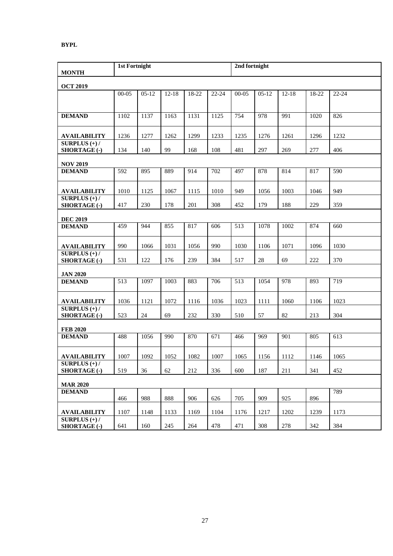#### **BYPL**

| <b>MONTH</b>                                             |           | <b>1st Fortnight</b> |           |       |                  |           | 2nd fortnight |           |       |       |
|----------------------------------------------------------|-----------|----------------------|-----------|-------|------------------|-----------|---------------|-----------|-------|-------|
| <b>OCT 2019</b>                                          |           |                      |           |       |                  |           |               |           |       |       |
|                                                          | $00 - 05$ | $05-12$              | $12 - 18$ | 18-22 | 22-24            | $00 - 05$ | $05-12$       | $12 - 18$ | 18-22 | 22-24 |
| <b>DEMAND</b>                                            | 1102      | 1137                 | 1163      | 1131  | 1125             | 754       | 978           | 991       | 1020  | 826   |
| <b>AVAILABILITY</b>                                      | 1236      | 1277                 | 1262      | 1299  | 1233             | 1235      | 1276          | 1261      | 1296  | 1232  |
| SURPLUS $(+)$ /<br>SHORTAGE (-)                          | 134       | 140                  | 99        | 168   | 108              | 481       | 297           | 269       | 277   | 406   |
| <b>NOV 2019</b>                                          |           |                      |           |       |                  |           |               |           |       |       |
| <b>DEMAND</b>                                            | 592       | 895                  | 889       | 914   | $\overline{702}$ | 497       | 878           | 814       | 817   | 590   |
| <b>AVAILABILITY</b>                                      | 1010      | 1125                 | 1067      | 1115  | 1010             | 949       | 1056          | 1003      | 1046  | 949   |
| $\overline{\text{SURPLUS}(+)}/$<br><b>SHORTAGE (-)</b>   | 417       | 230                  | 178       | 201   | 308              | 452       | 179           | 188       | 229   | 359   |
| <b>DEC 2019</b>                                          |           |                      |           |       |                  |           |               |           |       |       |
| <b>DEMAND</b>                                            | 459       | 944                  | 855       | 817   | 606              | 513       | 1078          | 1002      | 874   | 660   |
| <b>AVAILABILITY</b>                                      | 990       | 1066                 | 1031      | 1056  | 990              | 1030      | 1106          | 1071      | 1096  | 1030  |
| SURPLUS $(+)$ /<br>SHORTAGE (-)                          | 531       | 122                  | 176       | 239   | 384              | 517       | 28            | 69        | 222   | 370   |
| <b>JAN 2020</b>                                          |           |                      |           |       |                  |           |               |           |       |       |
| <b>DEMAND</b>                                            | 513       | 1097                 | 1003      | 883   | 706              | 513       | 1054          | 978       | 893   | 719   |
| <b>AVAILABILITY</b>                                      | 1036      | 1121                 | 1072      | 1116  | 1036             | 1023      | 1111          | 1060      | 1106  | 1023  |
| $\overline{\text{ SURPLUS}}$ (+)/<br><b>SHORTAGE (-)</b> | 523       | 24                   | 69        | 232   | 330              | 510       | 57            | 82        | 213   | 304   |
| <b>FEB 2020</b>                                          |           |                      |           |       |                  |           |               |           |       |       |
| <b>DEMAND</b>                                            | 488       | 1056                 | 990       | 870   | 671              | 466       | 969           | 901       | 805   | 613   |
| <b>AVAILABILITY</b>                                      | 1007      | 1092                 | 1052      | 1082  | 1007             | 1065      | 1156          | 1112      | 1146  | 1065  |
| SURPLUS $(+)$ /<br><b>SHORTAGE (-)</b>                   | 519       | 36                   | 62        | 212   | 336              | 600       | 187           | 211       | 341   | 452   |
| <b>MAR 2020</b>                                          |           |                      |           |       |                  |           |               |           |       |       |
| <b>DEMAND</b>                                            | 466       | 988                  | 888       | 906   | 626              | 705       | 909           | 925       | 896   | 789   |
| <b>AVAILABILITY</b>                                      | 1107      | 1148                 | 1133      | 1169  | 1104             | 1176      | 1217          | 1202      | 1239  | 1173  |
| SURPLUS $(+)$ /<br><b>SHORTAGE (-)</b>                   | 641       | 160                  | 245       | 264   | 478              | 471       | 308           | 278       | 342   | 384   |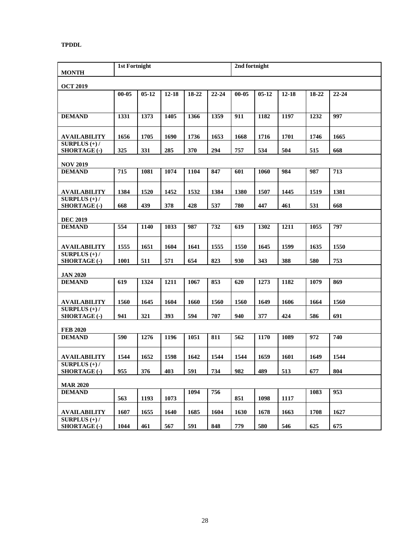#### **TPDDL**

| <b>MONTH</b>                                      | <b>1st Fortnight</b> |           |           |       |           | 2nd fortnight |         |           |       |           |
|---------------------------------------------------|----------------------|-----------|-----------|-------|-----------|---------------|---------|-----------|-------|-----------|
| <b>OCT 2019</b>                                   |                      |           |           |       |           |               |         |           |       |           |
|                                                   | $00 - 05$            | $05 - 12$ | $12 - 18$ | 18-22 | $22 - 24$ | $00 - 05$     | $05-12$ | $12 - 18$ | 18-22 | $22 - 24$ |
| <b>DEMAND</b>                                     | 1331                 | 1373      | 1405      | 1366  | 1359      | 911           | 1182    | 1197      | 1232  | 997       |
| AVAILABILITY                                      | 1656                 | 1705      | 1690      | 1736  | 1653      | 1668          | 1716    | 1701      | 1746  | 1665      |
| SURPLUS $(+)$ /<br><b>SHORTAGE (-)</b>            | 325                  | 331       | 285       | 370   | 294       | 757           | 534     | 504       | 515   | 668       |
| <b>NOV 2019</b>                                   |                      |           |           |       |           |               |         |           |       |           |
| <b>DEMAND</b>                                     | 715                  | 1081      | 1074      | 1104  | 847       | 601           | 1060    | 984       | 987   | 713       |
| <b>AVAILABILITY</b>                               | 1384                 | 1520      | 1452      | 1532  | 1384      | 1380          | 1507    | 1445      | 1519  | 1381      |
| SURPLUS $(+)$ /<br>SHORTAGE (-)                   | 668                  | 439       | 378       | 428   | 537       | 780           | 447     | 461       | 531   | 668       |
| <b>DEC 2019</b>                                   |                      |           |           |       |           |               |         |           |       |           |
| <b>DEMAND</b>                                     | 554                  | 1140      | 1033      | 987   | 732       | 619           | 1302    | 1211      | 1055  | 797       |
| <b>AVAILABILITY</b>                               | 1555                 | 1651      | 1604      | 1641  | 1555      | 1550          | 1645    | 1599      | 1635  | 1550      |
| SURPLUS $(+)$ /<br>SHORTAGE (-)                   | 1001                 | 511       | 571       | 654   | 823       | 930           | 343     | 388       | 580   | 753       |
| <b>JAN 2020</b>                                   |                      |           |           |       |           |               |         |           |       |           |
| <b>DEMAND</b>                                     | 619                  | 1324      | 1211      | 1067  | 853       | 620           | 1273    | 1182      | 1079  | 869       |
| <b>AVAILABILITY</b>                               | 1560                 | 1645      | 1604      | 1660  | 1560      | 1560          | 1649    | 1606      | 1664  | 1560      |
| $\overline{\text{ SURPLUS}}$ (+)/<br>SHORTAGE (-) | 941                  | 321       | 393       | 594   | 707       | 940           | 377     | 424       | 586   | 691       |
| <b>FEB 2020</b>                                   |                      |           |           |       |           |               |         |           |       |           |
| <b>DEMAND</b>                                     | 590                  | 1276      | 1196      | 1051  | 811       | 562           | 1170    | 1089      | 972   | 740       |
| <b>AVAILABILITY</b>                               | 1544                 | 1652      | 1598      | 1642  | 1544      | 1544          | 1659    | 1601      | 1649  | 1544      |
| SURPLUS $(+)$ /<br>SHORTAGE (-)                   | 955                  | 376       | 403       | 591   | 734       | 982           | 489     | 513       | 677   | 804       |
| <b>MAR 2020</b>                                   |                      |           |           |       |           |               |         |           |       |           |
| <b>DEMAND</b>                                     | 563                  | 1193      | 1073      | 1094  | 756       | 851           | 1098    | 1117      | 1083  | 953       |
| <b>AVAILABILITY</b>                               | 1607                 | 1655      | 1640      | 1685  | 1604      | 1630          | 1678    | 1663      | 1708  | 1627      |
| SURPLUS $(+)$ /<br><b>SHORTAGE (-)</b>            | 1044                 | 461       | 567       | 591   | 848       | 779           | 580     | 546       | 625   | 675       |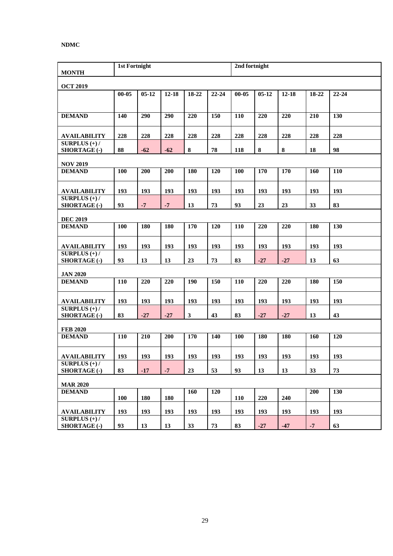#### **NDMC**

| <b>MONTH</b>                                     | <b>1st Fortnight</b> |           |           |              |           | 2nd fortnight |           |           |       |           |
|--------------------------------------------------|----------------------|-----------|-----------|--------------|-----------|---------------|-----------|-----------|-------|-----------|
| <b>OCT 2019</b>                                  |                      |           |           |              |           |               |           |           |       |           |
|                                                  | $00 - 05$            | $05 - 12$ | $12 - 18$ | 18-22        | $22 - 24$ | $00 - 05$     | $05 - 12$ | $12 - 18$ | 18-22 | $22 - 24$ |
| <b>DEMAND</b>                                    | 140                  | 290       | 290       | 220          | 150       | 110           | 220       | 220       | 210   | 130       |
| <b>AVAILABILITY</b>                              | 228                  | 228       | 228       | 228          | 228       | 228           | 228       | 228       | 228   | 228       |
| SURPLUS $(+)$ /<br>SHORTAGE (-)                  | 88                   | $-62$     | $-62$     | $\bf{8}$     | 78        | 118           | $\bf{8}$  | $\pmb{8}$ | 18    | 98        |
| <b>NOV 2019</b>                                  |                      |           |           |              |           |               |           |           |       |           |
| <b>DEMAND</b>                                    | 100                  | 200       | 200       | 180          | 120       | 100           | 170       | 170       | 160   | 110       |
| <b>AVAILABILITY</b>                              | 193                  | 193       | 193       | 193          | 193       | 193           | 193       | 193       | 193   | 193       |
| SURPLUS $(+)$ /<br>SHORTAGE (-)                  | 93                   | $-7$      | $-7$      | 13           | 73        | 93            | 23        | 23        | 33    | 83        |
| <b>DEC 2019</b>                                  |                      |           |           |              |           |               |           |           |       |           |
| <b>DEMAND</b>                                    | 100                  | 180       | 180       | 170          | 120       | 110           | 220       | 220       | 180   | 130       |
| <b>AVAILABILITY</b>                              | 193                  | 193       | 193       | 193          | 193       | 193           | 193       | 193       | 193   | 193       |
| $\overline{\text{SURPLUS}}(+)$ /<br>SHORTAGE (-) | 93                   | 13        | 13        | 23           | 73        | 83            | $-27$     | $-27$     | 13    | 63        |
| <b>JAN 2020</b>                                  |                      |           |           |              |           |               |           |           |       |           |
| <b>DEMAND</b>                                    | 110                  | 220       | 220       | 190          | 150       | 110           | 220       | 220       | 180   | 150       |
| <b>AVAILABILITY</b>                              | 193                  | 193       | 193       | 193          | 193       | 193           | 193       | 193       | 193   | 193       |
| SURPLUS $(+)$ /<br>SHORTAGE (-)                  | 83                   | $-27$     | $-27$     | $\mathbf{3}$ | 43        | 83            | $-27$     | $-27$     | 13    | 43        |
| <b>FEB 2020</b>                                  |                      |           |           |              |           |               |           |           |       |           |
| <b>DEMAND</b>                                    | 110                  | 210       | 200       | 170          | 140       | 100           | 180       | 180       | 160   | 120       |
| <b>AVAILABILITY</b>                              | 193                  | 193       | 193       | 193          | 193       | 193           | 193       | 193       | 193   | 193       |
| SURPLUS $(+)$ /<br>SHORTAGE (-)                  | 83                   | $-17$     | $-7$      | 23           | 53        | 93            | 13        | 13        | 33    | 73        |
| <b>MAR 2020</b>                                  |                      |           |           |              |           |               |           |           |       |           |
| <b>DEMAND</b>                                    | <b>100</b>           | 180       | 180       | 160          | 120       | 110           | 220       | 240       | 200   | 130       |
| <b>AVAILABILITY</b>                              | 193                  | 193       | 193       | 193          | 193       | 193           | 193       | 193       | 193   | 193       |
| SURPLUS $(+)$ /<br><b>SHORTAGE (-)</b>           | 93                   | 13        | 13        | 33           | 73        | 83            | $-27$     | $-47$     | $-7$  | 63        |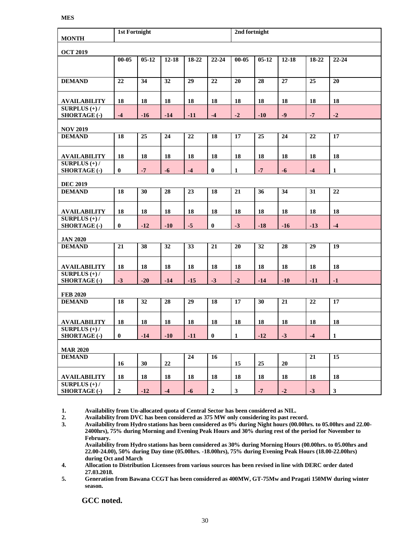| <b>MONTH</b>                           |                  | <b>1st Fortnight</b> |            |                 |              |              | 2nd fortnight |           |            |                 |
|----------------------------------------|------------------|----------------------|------------|-----------------|--------------|--------------|---------------|-----------|------------|-----------------|
| <b>OCT 2019</b>                        |                  |                      |            |                 |              |              |               |           |            |                 |
|                                        | $00 - 05$        | $05 - 12$            | $12 - 18$  | 18-22           | $22 - 24$    | $00 - 05$    | $05 - 12$     | $12 - 18$ | 18-22      | $22 - 24$       |
| <b>DEMAND</b>                          | 22               | 34                   | 32         | $\overline{29}$ | 22           | 20           | 28            | 27        | 25         | 20              |
| <b>AVAILABILITY</b>                    | 18               | 18                   | 18         | 18              | 18           | 18           | 18            | 18        | 18         | 18              |
| SURPLUS $(+)$ /<br><b>SHORTAGE (-)</b> | $-4$             | $-16$                | $-14$      | $-11$           | $-4$         | $-2$         | $-10$         | $-9$      | $-7$       | $-2$            |
| <b>NOV 2019</b>                        |                  |                      |            |                 |              |              |               |           |            |                 |
| <b>DEMAND</b>                          | 18               | 25                   | 24         | 22              | 18           | 17           | 25            | 24        | 22         | 17              |
| <b>AVAILABILITY</b>                    | 18               | 18                   | 18         | 18              | 18           | 18           | 18            | 18        | 18         | 18              |
| SURPLUS $(+)$ /<br>SHORTAGE (-)        | $\bf{0}$         | $-7$                 | $-6$       | $-4$            | $\bf{0}$     | $\mathbf{1}$ | $-7$          | $-6$      | $-4$       | $\mathbf{1}$    |
| <b>DEC 2019</b>                        |                  |                      |            |                 |              |              |               |           |            |                 |
| <b>DEMAND</b>                          | 18               | 30                   | 28         | 23              | 18           | 21           | 36            | 34        | 31         | 22              |
| <b>AVAILABILITY</b>                    | 18               | 18                   | 18         | 18              | 18           | 18           | 18            | 18        | 18         | 18              |
| SURPLUS $(+)$ /<br>SHORTAGE (-)        | $\bf{0}$         | $-12$                | $-10$      | $-5$            | $\bf{0}$     | $-3$         | $-18$         | $-16$     | $-13$      | $-4$            |
| <b>JAN 2020</b>                        |                  |                      |            |                 |              |              |               |           |            |                 |
| <b>DEMAND</b>                          | 21               | 38                   | 32         | 33              | 21           | 20           | 32            | 28        | 29         | 19              |
| <b>AVAILABILITY</b>                    | 18               | 18                   | 18         | 18              | 18           | 18           | 18            | 18        | 18         | 18              |
| SURPLUS $(+)$ /<br>SHORTAGE (-)        | $-3$             | $-20$                | $-14$      | $-15$           | $-3$         | $-2$         | $-14$         | $-10$     | $-11$      | $-1$            |
| <b>FEB 2020</b>                        |                  |                      |            |                 |              |              |               |           |            |                 |
| <b>DEMAND</b>                          | 18               | 32                   | 28         | 29              | 18           | 17           | 30            | 21        | 22         | 17              |
| <b>AVAILABILITY</b>                    | ${\bf 18}$       | ${\bf 18}$           | ${\bf 18}$ | ${\bf 18}$      | ${\bf 18}$   | 18           | 18            | 18        | ${\bf 18}$ | 18              |
| SURPLUS $(+)$ /<br><b>SHORTAGE (-)</b> | $\bf{0}$         | $-14$                | $-10$      | $-11$           | $\bf{0}$     | $\mathbf{1}$ | $-12$         | $-3$      | $-4$       | $\mathbf{1}$    |
| <b>MAR 2020</b>                        |                  |                      |            |                 |              |              |               |           |            |                 |
| <b>DEMAND</b>                          | 16               | 30                   | 22         | 24              | 16           | 15           | 25            | 20        | 21         | $\overline{15}$ |
| <b>AVAILABILITY</b>                    | 18               | 18                   | 18         | 18              | 18           | 18           | 18            | 18        | 18         | 18              |
| SURPLUS $(+)$ /<br><b>SHORTAGE (-)</b> | $\boldsymbol{2}$ | $-12$                | $-4$       | $-6$            | $\mathbf{2}$ | $\mathbf{3}$ | $-7$          | $-2$      | $-3$       | $\mathbf{3}$    |

**1. Availability from Un-allocated quota of Central Sector has been considered as NIL.**

**2. Availability from DVC has been considered as 375 MW only considering its past record.** 

**3. Availability from Hydro stations has been considered as 0% during Night hours (00.00hrs. to 05.00hrs and 22.00- 2400hrs), 75% during Morning and Evening Peak Hours and 30% during rest of the period for November to February.**

**Availability from Hydro stations has been considered as 30% during Morning Hours (00.00hrs. to 05.00hrs and 22.00-24.00), 50% during Day time (05.00hrs. -18.00hrs), 75% during Evening Peak Hours (18.00-22.00hrs) during Oct and March** 

**4. Allocation to Distribution Licensees from various sources has been revised in line with DERC order dated 27.03.2018.**

**5. Generation from Bawana CCGT has been considered as 400MW, GT-75Mw and Pragati 150MW during winter season.**

**GCC noted.**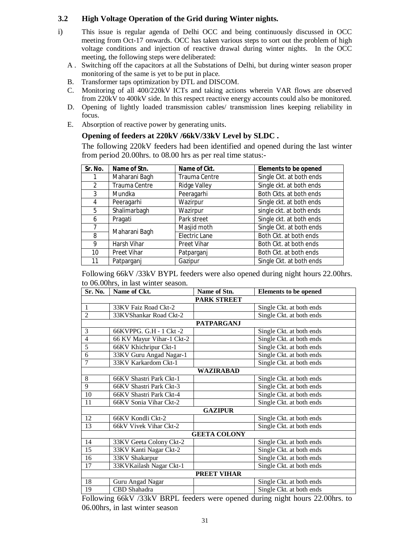#### **3.2 High Voltage Operation of the Grid during Winter nights.**

- i) This issue is regular agenda of Delhi OCC and being continuously discussed in OCC meeting from Oct-17 onwards. OCC has taken various steps to sort out the problem of high voltage conditions and injection of reactive drawal during winter nights. In the OCC meeting, the following steps were deliberated:
	- A . Switching off the capacitors at all the Substations of Delhi, but during winter season proper monitoring of the same is yet to be put in place.
	- B. Transformer taps optimization by DTL and DISCOM.
	- C. Monitoring of all 400/220kV ICTs and taking actions wherein VAR flows are observed from 220kV to 400kV side. In this respect reactive energy accounts could also be monitored.
	- D. Opening of lightly loaded transmission cables/ transmission lines keeping reliability in focus.
	- E. Absorption of reactive power by generating units.

#### **Opening of feeders at 220kV /66kV/33kV Level by SLDC .**

The following 220kV feeders had been identified and opened during the last winter from period 20.00hrs. to 08.00 hrs as per real time status:-

| Sr. No.         | Name of Stn.       | Name of Ckt.        | <b>Elements to be opened</b> |
|-----------------|--------------------|---------------------|------------------------------|
|                 | Maharani Bagh      | Trauma Centre       | Single Ckt. at both ends     |
| $\mathfrak{D}$  | Trauma Centre      | <b>Ridge Valley</b> | Single ckt. at both ends     |
| 3               | Mundka             | Peeragarhi          | Both Ckts. at both ends      |
| 4               | Peeragarhi         | Wazirpur            | Single ckt. at both ends     |
| 5               | Shalimarbagh       | Wazirpur            | single ckt. at both ends     |
| 6               | Pragati            | Park street         | Single ckt. at both ends     |
|                 | Maharani Bagh      | Masjid moth         | Single Ckt. at both ends     |
| 8               |                    | Electric Lane       | Both Ckt. at both ends       |
| 9               | Harsh Vihar        | <b>Preet Vihar</b>  | Both Ckt. at both ends       |
| 10 <sup>1</sup> | <b>Preet Vihar</b> | Patparganj          | Both Ckt. at both ends       |
| 11              | Patparganj         | Gazipur             | Single Ckt. at both ends     |

Following 66kV /33kV BYPL feeders were also opened during night hours 22.00hrs. to 06.00hrs, in last winter season.

| Sr. No.        | Name of Ckt.              | Name of Stn.        | <b>Elements to be opened</b> |  |  |  |  |
|----------------|---------------------------|---------------------|------------------------------|--|--|--|--|
|                |                           | <b>PARK STREET</b>  |                              |  |  |  |  |
| $\mathbf{1}$   | 33KV Faiz Road Ckt-2      |                     | Single Ckt. at both ends     |  |  |  |  |
| $\overline{2}$ | 33KVShankar Road Ckt-2    |                     | Single Ckt. at both ends     |  |  |  |  |
|                |                           | <b>PATPARGANJ</b>   |                              |  |  |  |  |
| 3              | 66KVPPG. G.H - 1 Ckt -2   |                     | Single Ckt. at both ends     |  |  |  |  |
| 4              | 66 KV Mayur Vihar-1 Ckt-2 |                     | Single Ckt. at both ends     |  |  |  |  |
| 5              | 66KV Khichripur Ckt-1     |                     | Single Ckt. at both ends     |  |  |  |  |
| 6              | 33KV Guru Angad Nagar-1   |                     | Single Ckt. at both ends     |  |  |  |  |
| 7              | 33KV Karkardom Ckt-1      |                     | Single Ckt. at both ends     |  |  |  |  |
| WAZIRABAD      |                           |                     |                              |  |  |  |  |
| 8              | 66KV Shastri Park Ckt-1   |                     | Single Ckt. at both ends     |  |  |  |  |
| 9              | 66KV Shastri Park Ckt-3   |                     | Single Ckt. at both ends     |  |  |  |  |
| 10             | 66KV Shastri Park Ckt-4   |                     | Single Ckt. at both ends     |  |  |  |  |
| 11             | 66KV Sonia Vihar Ckt-2    |                     | Single Ckt. at both ends     |  |  |  |  |
|                |                           | <b>GAZIPUR</b>      |                              |  |  |  |  |
| 12             | 66KV Kondli Ckt-2         |                     | Single Ckt. at both ends     |  |  |  |  |
| 13             | 66kV Vivek Vihar Ckt-2    |                     | Single Ckt. at both ends     |  |  |  |  |
|                |                           | <b>GEETA COLONY</b> |                              |  |  |  |  |
| 14             | 33KV Geeta Colony Ckt-2   |                     | Single Ckt. at both ends     |  |  |  |  |
| 15             | 33KV Kanti Nagar Ckt-2    |                     | Single Ckt. at both ends     |  |  |  |  |
| 16             | 33KV Shakarpur            |                     | Single Ckt. at both ends     |  |  |  |  |
| 17             | 33KVKailash Nagar Ckt-1   |                     | Single Ckt. at both ends     |  |  |  |  |
|                |                           | <b>PREET VIHAR</b>  |                              |  |  |  |  |
| 18             | Guru Angad Nagar          |                     | Single Ckt. at both ends     |  |  |  |  |
| 19             | CBD Shahadra              |                     | Single Ckt. at both ends     |  |  |  |  |

Following 66kV /33kV BRPL feeders were opened during night hours 22.00hrs. to 06.00hrs, in last winter season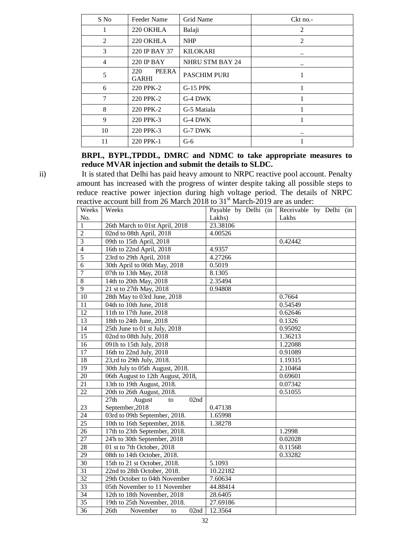| S No           | Feeder Name                      | Grid Name              | $Ckt$ no.- |
|----------------|----------------------------------|------------------------|------------|
| 1              | 220 OKHLA                        | Balaji                 | 2          |
| 2              | 220 OKHLA                        | <b>NHP</b>             | 2          |
| 3              | 220 IP BAY 37<br><b>KILOKARI</b> |                        |            |
| $\overline{4}$ | 220 IP BAY                       | <b>NHRU STM BAY 24</b> |            |
| 5              | PEERA<br>220<br><b>GARHI</b>     | <b>PASCHIM PURI</b>    |            |
| 6              | 220 PPK-2                        | <b>G-15 PPK</b>        |            |
| 7              | 220 PPK-2                        | G-4 DWK                |            |
| 8              | 220 PPK-2                        | G-5 Matiala            |            |
| 9              | 220 PPK-3                        | G-4 DWK                |            |
| 10             | 220 PPK-3                        | G-7 DWK                |            |
| 11             | 220 PPK-1                        | $G-6$                  |            |

# **BRPL, BYPL,TPDDL, DMRC and NDMC to take appropriate measures to reduce MVAR injection and submit the details to SLDC.**

ii) It is stated that Delhi has paid heavy amount to NRPC reactive pool account. Penalty amount has increased with the progress of winter despite taking all possible steps to reduce reactive power injection during high voltage period. The details of NRPC reactive account bill from 26 March 2018 to 31<sup>st</sup> March-2019 are as under:

| Weeks           | Weeks                             | Payable by Delhi (in | Receivable by Delhi (in |
|-----------------|-----------------------------------|----------------------|-------------------------|
| No.             |                                   | Lakhs)               | Lakhs                   |
| $\mathbf{1}$    | 26th March to 01st April, 2018    | 23.38106             |                         |
| $\overline{2}$  | 02nd to 08th April, 2018          | 4.00526              |                         |
| $\overline{3}$  | 09th to 15th April, 2018          |                      | 0.42442                 |
| $\overline{4}$  | 16th to 22nd April, 2018          | 4.9357               |                         |
| 5               | 23rd to 29th April, 2018          | 4.27266              |                         |
| $\overline{6}$  | 30th April to 06th May, 2018      | 0.5019               |                         |
| $\overline{7}$  | 07th to 13th May, 2018            | 8.1305               |                         |
| $\overline{8}$  | 14th to 20th May, 2018            | 2.35494              |                         |
| $\overline{9}$  | 21 st to 27th May, 2018           | 0.94808              |                         |
| 10              | 28th May to 03rd June, 2018       |                      | 0.7664                  |
| 11              | 04th to 10th June, 2018           |                      | 0.54549                 |
| $\overline{12}$ | 11th to 17th June, 2018           |                      | 0.62646                 |
| $\overline{13}$ | 18th to 24th June, 2018           |                      | 0.1326                  |
| $\overline{14}$ | 25th June to 01 st July, 2018     |                      | 0.95092                 |
| $\overline{15}$ | 02nd to 08th July, 2018           |                      | 1.36213                 |
| $\overline{16}$ | 091h to 15th July, 2018           |                      | 1.22088                 |
| 17              | 16th to 22nd July, 2018           |                      | 0.91089                 |
| 18              | 23,rd to 29th July, 2018.         |                      | 1.19315                 |
| 19              | 30th July to 05th August, 2018.   |                      | 2.10464                 |
| $\overline{20}$ | 06th August to 12th August, 2018, |                      | 0.69601                 |
| $\overline{21}$ | 13th to 19th August, 2018.        |                      | 0.07342                 |
| 22              | 20th to 26th August, 2018.        |                      | 0.51055                 |
|                 | 27th<br>August<br>02nd<br>to      |                      |                         |
| 23              | September, 2018                   | 0.47138              |                         |
| $\overline{24}$ | 03rd to 09th September, 2018.     | 1.65998              |                         |
| $\overline{25}$ | 10th to 16th September, 2018.     | 1.38278              |                         |
| 26              | 17th to 23th September, 2018.     |                      | 1.2998                  |
| $\overline{27}$ | 24'h to 30th September, 2018      |                      | 0.02028                 |
| 28              | 01 st to 7th October, 2018        |                      | 0.11568                 |
| $\overline{29}$ | 08th to 14th October, 2018.       |                      | 0.33282                 |
| $\overline{30}$ | 15th to 21 st October, 2018.      | 5.1093               |                         |
| 31              | 22nd to 28th October, 2018.       | 10.22182             |                         |
| $\overline{32}$ | 29th October to 04th November     | 7.60634              |                         |
| 33              | 05th November to 11 November      | 44.88414             |                         |
| 34              | 12th to 18th November, 2018       | 28.6405              |                         |
| 35              | 19th to 25th November, 2018.      | 27.69186             |                         |
| 36              | 26th<br>02nd<br>November<br>to    | 12.3564              |                         |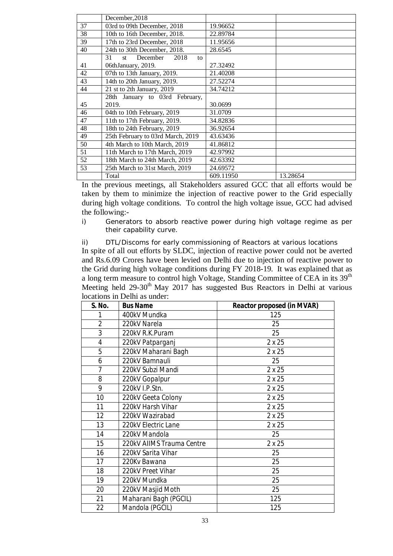|    | December, 2018                     |           |          |
|----|------------------------------------|-----------|----------|
| 37 | 03rd to 09th December, 2018        | 19.96652  |          |
| 38 | 10th to 16th December, 2018.       | 22.89784  |          |
| 39 | 17th to 23rd December, 2018        | 11.95656  |          |
| 40 | 24th to 30th December, 2018.       | 28.6545   |          |
|    | December<br>31<br>2018<br>st<br>to |           |          |
| 41 | 06thJanuary, 2019.                 | 27.32492  |          |
| 42 | 07th to 13th January, 2019.        | 21.40208  |          |
| 43 | 14th to 20th January, 2019.        | 27.52274  |          |
| 44 | 21 st to 2th January, 2019         | 34.74212  |          |
|    | 28th January to 03rd February,     |           |          |
| 45 | 2019.                              | 30.0699   |          |
| 46 | 04th to 10th February, 2019        | 31.0709   |          |
| 47 | 11th to 17th February, 2019.       | 34.82836  |          |
| 48 | 18th to 24th February, 2019        | 36.92654  |          |
| 49 | 25th February to 03rd March, 2019  | 43.63436  |          |
| 50 | 4th March to 10th March, 2019      | 41.86812  |          |
| 51 | 11th March to 17th March, 2019     | 42.97992  |          |
| 52 | 18th March to 24th March, 2019     | 42.63392  |          |
| 53 | 25th March to 31st March, 2019     | 24.69572  |          |
|    | Total                              | 609.11950 | 13.28654 |

In the previous meetings, all Stakeholders assured GCC that all efforts would be taken by them to minimize the injection of reactive power to the Grid especially during high voltage conditions. To control the high voltage issue, GCC had advised the following:-

i) Generators to absorb reactive power during high voltage regime as per their capability curve.

ii) DTL/Discoms for early commissioning of Reactors at various locations In spite of all out efforts by SLDC, injection of reactive power could not be averted and Rs.6.09 Crores have been levied on Delhi due to injection of reactive power to the Grid during high voltage conditions during FY 2018-19. It was explained that as a long term measure to control high Voltage, Standing Committee of CEA in its 39<sup>th</sup> Meeting held  $29-30<sup>th</sup>$  May 2017 has suggested Bus Reactors in Delhi at various locations in Delhi as under:

| S. No.         | <b>Bus Name</b>           | <b>Reactor proposed (in MVAR)</b> |
|----------------|---------------------------|-----------------------------------|
|                | 400kV Mundka              | 125                               |
| $\overline{2}$ | 220kV Narela              | 25                                |
| 3              | 220kV R.K.Puram           | 25                                |
| 4              | 220kV Patparganj          | 2x25                              |
| 5              | 220kV Maharani Bagh       | 2x25                              |
| 6              | 220kV Bamnauli            | 25                                |
| $\overline{7}$ | 220kV Subzi Mandi         | 2x25                              |
| 8              | 220kV Gopalpur            | 2 x 25                            |
| 9              | 220kV I.P.Stn.            | 2x25                              |
| 10             | 220kV Geeta Colony        | 2x25                              |
| 11             | 220kV Harsh Vihar         | 2x25                              |
| 12             | 220kV Wazirabad           | 2x25                              |
| 13             | 220kV Electric Lane       | 2 x 25                            |
| 14             | 220kV Mandola             | 25                                |
| 15             | 220kV AIIMS Trauma Centre | 2x25                              |
| 16             | 220kV Sarita Vihar        | 25                                |
| 17             | 220Kv Bawana              | 25                                |
| 18             | 220kV Preet Vihar         | 25                                |
| 19             | 220kV Mundka              | 25                                |
| 20             | 220kV Masjid Moth         | 25                                |
| 21             | Maharani Bagh (PGCIL)     | 125                               |
| 22             | Mandola (PGCIL)           | 125                               |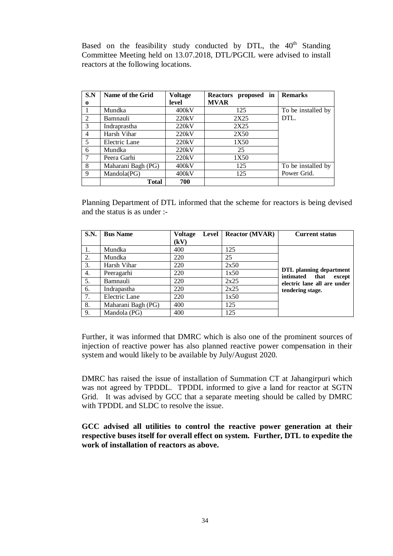Based on the feasibility study conducted by DTL, the  $40<sup>th</sup>$  Standing Committee Meeting held on 13.07.2018, DTL/PGCIL were advised to install reactors at the following locations.

| S.N      | Name of the Grid   | <b>Voltage</b> | <b>Reactors</b><br>proposed in | <b>Remarks</b>     |
|----------|--------------------|----------------|--------------------------------|--------------------|
| $\bf{0}$ |                    | level          | <b>MVAR</b>                    |                    |
|          | Mundka             | 400kV          | 125                            | To be installed by |
| 2        | Bamnauli           | 220kV          | 2X25                           | DTL.               |
| 3        | Indraprastha       | 220kV          | 2X25                           |                    |
| 4        | Harsh Vihar        | 220kV          | 2X50                           |                    |
| 5        | Electric Lane      | 220kV          | 1X50                           |                    |
| 6        | Mundka             | 220kV          | 25                             |                    |
|          | Peera Garhi        | 220kV          | 1X50                           |                    |
| 8        | Maharani Bagh (PG) | 400kV          | 125                            | To be installed by |
| 9        | Mandola(PG)        | 400kV          | 125                            | Power Grid.        |
|          | <b>Total</b>       | 700            |                                |                    |

Planning Department of DTL informed that the scheme for reactors is being devised and the status is as under :-

| <b>S.N.</b> | <b>Bus Name</b>    | <b>Voltage</b><br>Level | <b>Reactor (MVAR)</b> | <b>Current status</b>                                  |
|-------------|--------------------|-------------------------|-----------------------|--------------------------------------------------------|
|             |                    | (kV)                    |                       |                                                        |
| 1.          | Mundka             | 400                     | 125                   |                                                        |
| 2.          | Mundka             | 220                     | 25                    |                                                        |
| 3.          | Harsh Vihar        | 220                     | 2x50                  |                                                        |
| 4.          | Peeragarhi         | 220                     | 1x50                  | DTL planning department<br>intimated<br>that<br>except |
| 5.          | Bamnauli           | 220                     | 2x25                  | electric lane all are under                            |
| 6.          | Indrapastha        | 220                     | 2x25                  | tendering stage.                                       |
| 7.          | Electric Lane      | 220                     | 1x50                  |                                                        |
| 8.          | Maharani Bagh (PG) | 400                     | 125                   |                                                        |
| 9.          | Mandola (PG)       | 400                     | 125                   |                                                        |

Further, it was informed that DMRC which is also one of the prominent sources of injection of reactive power has also planned reactive power compensation in their system and would likely to be available by July/August 2020.

DMRC has raised the issue of installation of Summation CT at Jahangirpuri which was not agreed by TPDDL. TPDDL informed to give a land for reactor at SGTN Grid. It was advised by GCC that a separate meeting should be called by DMRC with TPDDL and SLDC to resolve the issue.

**GCC advised all utilities to control the reactive power generation at their respective buses itself for overall effect on system. Further, DTL to expedite the work of installation of reactors as above.**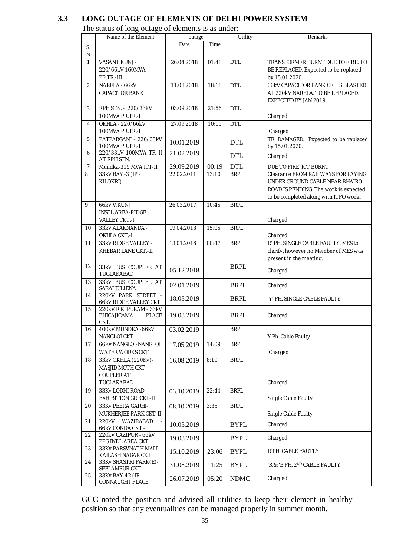# **3.3 LONG OUTAGE OF ELEMENTS OF DELHI POWER SYSTEM**

The status of long outage of elements is as under:-

|                  | The status of folly outage of elements is as under. |            |       |             |                                           |
|------------------|-----------------------------------------------------|------------|-------|-------------|-------------------------------------------|
|                  | Name of the Element                                 | outage     |       | Utility     | Remarks                                   |
| S.               |                                                     | Date       | Time  |             |                                           |
|                  |                                                     |            |       |             |                                           |
| N                |                                                     |            |       |             |                                           |
| $\mathbf{1}$     | VASANT KUNJ -                                       | 26.04.2018 | 01:48 | <b>DTL</b>  | TRANSFORMER BURNT DUE TO FIRE. TO         |
|                  | 220/66kV 160MVA                                     |            |       |             | BE REPLACED. Expected to be replaced      |
|                  | PR.TR.-III                                          |            |       |             | by 15.01.2020.                            |
| 2                | NARELA - 66kV                                       | 11.08.2018 | 18:18 | <b>DTL</b>  | 66kV CAPACITOR BANK CELLS BLASTED         |
|                  | <b>CAPACITOR BANK</b>                               |            |       |             | AT 220kV NARELA. TO BE REPLACED.          |
|                  |                                                     |            |       |             | EXPECTED BY JAN 2019.                     |
| 3                | RPH STN. - 220/33kV                                 | 03.09.2018 | 21:56 | <b>DTL</b>  |                                           |
|                  | 100MVA PR.TR.-I                                     |            |       |             | Charged                                   |
|                  |                                                     |            |       |             |                                           |
| $\overline{4}$   | <b>OKHLA - 220/66kV</b>                             | 27.09.2018 | 10:15 | <b>DTL</b>  |                                           |
|                  | 100MVA PR.TR.-I                                     |            |       |             | Charged                                   |
| 5                | PATPARGANJ - 220/33kV                               | 10.01.2019 |       | <b>DTL</b>  | TR. DAMAGED. Expected to be replaced      |
|                  | 100MVA PR.TR.-I                                     |            |       |             | by 15.01.2020.                            |
| 6                | 220/33kV 100MVA TR.-II                              | 21.02.2019 |       | <b>DTL</b>  | Charged                                   |
|                  | AT RPH STN.                                         |            |       |             |                                           |
| $\boldsymbol{7}$ | Mundka-315 MVA ICT-II                               | 29.09.2019 | 00:19 | <b>DTL</b>  | DUE TO FIRE, ICT BURNT                    |
| 8                | 33kV BAY -3 (IP -                                   | 22.02.2011 | 13:10 | <b>BRPL</b> | <b>Clearance FROM RAILWAYS FOR LAYING</b> |
|                  | KILOKRI)                                            |            |       |             | UNDER GROUND CABLE NEAR BHAIRO            |
|                  |                                                     |            |       |             | ROAD IS PENDING. The work is expected     |
|                  |                                                     |            |       |             | to be completed along with ITPO work.     |
| 9                | 66kV V.KUNJ                                         | 26.03.2017 | 10:45 | <b>BRPL</b> |                                           |
|                  | INSTL.AREA-RIDGE                                    |            |       |             |                                           |
|                  | <b>VALLEY CKT-I</b>                                 |            |       |             | Charged                                   |
|                  |                                                     |            |       |             |                                           |
| 10               | 33kV ALAKNANDA -                                    | 19.04.2018 | 15:05 | <b>BRPL</b> |                                           |
|                  | OKHLA CKT.-I                                        |            |       |             | Charged                                   |
| 11               | 33kV RIDGE VALLEY -                                 | 13.01.2016 | 00:47 | <b>BRPL</b> | R' PH. SINGLE CABLE FAULTY. MES to        |
|                  | KHEBAR LANE CKT.-II                                 |            |       |             | clarify, however no Member of MES was     |
|                  |                                                     |            |       |             | present in the meeting.                   |
| 12               | 33kV BUS COUPLER AT                                 |            |       | <b>BRPL</b> |                                           |
|                  | TUGLAKABAD                                          | 05.12.2018 |       |             | Charged                                   |
| 13               | 33kV BUS COUPLER AT                                 |            |       |             |                                           |
|                  | SARAI JULIENA                                       | 02.01.2019 |       | <b>BRPL</b> | Charged                                   |
| 14               | 220kV PARK STREET -                                 |            |       |             |                                           |
|                  | 66kV RIDGE VALLEY CKT.                              | 18.03.2019 |       | <b>BRPL</b> | 'Y' PH. SINGLE CABLE FAULTY               |
| 15               | 220kV R.K. PURAM - 33kV                             |            |       |             |                                           |
|                  | BHICAJICAMA<br><b>PLACE</b>                         | 19.03.2019 |       | <b>BRPL</b> | Charged                                   |
|                  | CKT.                                                |            |       |             |                                           |
| 16               | 400kV MUNDKA -66kV                                  | 03.02.2019 |       | <b>BRPL</b> |                                           |
|                  | NANGLOI CKT.                                        |            |       |             | Y Ph. Cable Faulty                        |
| 17               | 66Kv NANGLOI-NANGLOI                                | 17.05.2019 | 14:09 | <b>BRPL</b> |                                           |
|                  | WATER WORKS CKT                                     |            |       |             | Charged                                   |
| 18               | 33kV OKHLA (220Kv)-                                 |            | 8:10  | <b>BRPL</b> |                                           |
|                  |                                                     | 16.08.2019 |       |             |                                           |
|                  | MASJID MOTH CKT                                     |            |       |             |                                           |
|                  | <b>COUPLER AT</b>                                   |            |       |             |                                           |
|                  | TUGLAKABAD                                          |            |       |             | Charged                                   |
| 19               | 33Kv LODHI ROAD-                                    | 03.10.2019 | 22:44 | <b>BRPL</b> |                                           |
|                  | <b>EXHIBITION GR. CKT-II</b>                        |            |       |             | Single Cable Faulty                       |
| 20               | 33Kv PEERA GARHI-                                   | 08.10.2019 | 3:35  | <b>BRPL</b> |                                           |
|                  | MUKHERJEE PARK CKT-II                               |            |       |             | Single Cable Faulty                       |
| 21               | WAZIRABAD<br>220kV                                  |            |       |             |                                           |
|                  | 66kV GONDA CKT.-I                                   | 10.03.2019 |       | <b>BYPL</b> | Charged                                   |
| 22               | 220kV GAZIPUR - 66kV                                |            |       |             |                                           |
|                  | PPG INDL AREA CKT.                                  | 19.03.2019 |       | <b>BYPL</b> | Charged                                   |
| 23               | 33Kv PARSVNATH MALL-                                |            |       |             |                                           |
|                  | KAILASH NAGAR CKT                                   | 15.10.2019 | 23:06 | <b>BYPL</b> | R'PH. CABLE FAUTLY                        |
| 24               | 33Kv SHASTRI PARK(E)-                               |            |       |             |                                           |
|                  | SEELAMPUR CKT                                       | 31.08.2019 | 11:25 | <b>BYPL</b> | 'R'& 'B'PH. 2ND CABLE FAULTY              |
| 25               | 33Kv BAY-42 (IP-                                    |            |       |             |                                           |
|                  | CONNAUGHT PLACE                                     | 26.07.2019 | 05:20 | <b>NDMC</b> | Charged                                   |

GCC noted the position and advised all utilities to keep their element in healthy position so that any eventualities can be managed properly in summer month.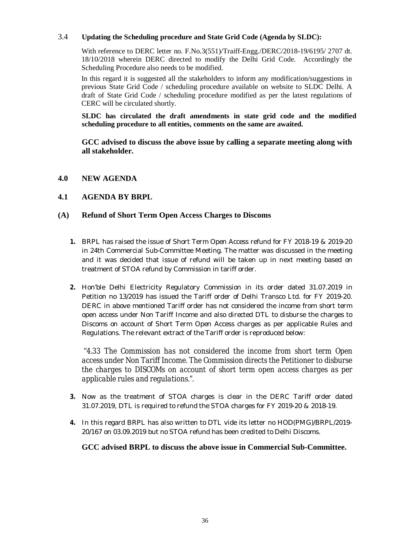#### 3.4 **Updating the Scheduling procedure and State Grid Code (Agenda by SLDC):**

With reference to DERC letter no. F.No.3(551)/Traiff-Engg./DERC/2018-19/6195/ 2707 dt. 18/10/2018 wherein DERC directed to modify the Delhi Grid Code. Accordingly the Scheduling Procedure also needs to be modified.

In this regard it is suggested all the stakeholders to inform any modification/suggestions in previous State Grid Code / scheduling procedure available on website to SLDC Delhi. A draft of State Grid Code / scheduling procedure modified as per the latest regulations of CERC will be circulated shortly.

**SLDC has circulated the draft amendments in state grid code and the modified scheduling procedure to all entities, comments on the same are awaited.** 

**GCC advised to discuss the above issue by calling a separate meeting along with all stakeholder.**

**4.0 NEW AGENDA**

# **4.1 AGENDA BY BRPL**

#### **(A) Refund of Short Term Open Access Charges to Discoms**

- **1.** BRPL has raised the issue of Short Term Open Access refund for FY 2018-19 & 2019-20 in 24th Commercial Sub-Committee Meeting. The matter was discussed in the meeting and it was decided that issue of refund will be taken up in next meeting based on treatment of STOA refund by Commission in tariff order.
- **2.** Hon'ble Delhi Electricity Regulatory Commission in its order dated 31.07.2019 in Petition no 13/2019 has issued the Tariff order of Delhi Transco Ltd. for FY 2019-20. DERC in above mentioned Tariff order has not considered the income from short term open access under Non Tariff Income and also directed DTL to disburse the charges to Discoms on account of Short Term Open Access charges as per applicable Rules and Regulations. The relevant extract of the Tariff order is reproduced below:

"*4.33 The Commission has not considered the income from short term Open access under Non Tariff Income. The Commission directs the Petitioner to disburse the charges to DISCOMs on account of short term open access charges as per applicable rules and regulations.".*

- **3.** Now as the treatment of STOA charges is clear in the DERC Tariff order dated 31.07.2019, DTL is required to refund the STOA charges for FY 2019-20 & 2018-19.
- **4.** In this regard BRPL has also written to DTL vide its letter no HOD(PMG)/BRPL/2019- 20/167 on 03.09.2019 but no STOA refund has been credited to Delhi Discoms.

**GCC advised BRPL to discuss the above issue in Commercial Sub-Committee.**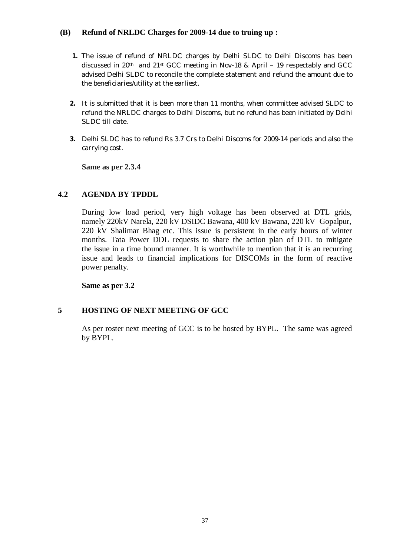#### **(B) Refund of NRLDC Charges for 2009-14 due to truing up :**

- **1.** The issue of refund of NRLDC charges by Delhi SLDC to Delhi Discoms has been discussed in 20th and 21st GCC meeting in Nov-18 & April – 19 respectably and GCC advised Delhi SLDC to reconcile the complete statement and refund the amount due to the beneficiaries/utility at the earliest.
- **2.** It is submitted that it is been more than 11 months, when committee advised SLDC to refund the NRLDC charges to Delhi Discoms, but no refund has been initiated by Delhi SLDC till date.
- **3.** Delhi SLDC has to refund Rs 3.7 Crs to Delhi Discoms for 2009-14 periods and also the carrying cost.

**Same as per 2.3.4**

#### **4.2 AGENDA BY TPDDL**

During low load period, very high voltage has been observed at DTL grids, namely 220kV Narela, 220 kV DSIDC Bawana, 400 kV Bawana, 220 kV Gopalpur, 220 kV Shalimar Bhag etc. This issue is persistent in the early hours of winter months. Tata Power DDL requests to share the action plan of DTL to mitigate the issue in a time bound manner. It is worthwhile to mention that it is an recurring issue and leads to financial implications for DISCOMs in the form of reactive power penalty.

**Same as per 3.2**

# **5 HOSTING OF NEXT MEETING OF GCC**

As per roster next meeting of GCC is to be hosted by BYPL. The same was agreed by BYPL.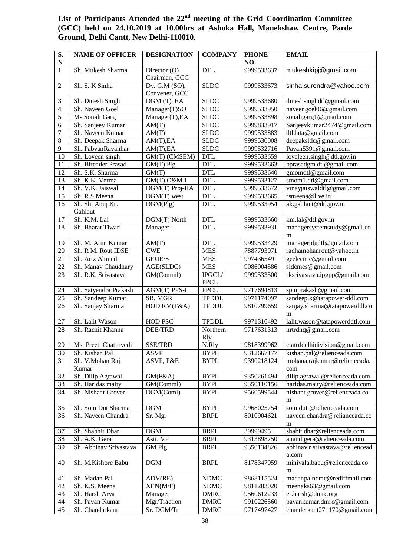| S.              | <b>NAME OF OFFICER</b> | <b>DESIGNATION</b>                | <b>COMPANY</b>         | <b>PHONE</b> | <b>EMAIL</b>                             |
|-----------------|------------------------|-----------------------------------|------------------------|--------------|------------------------------------------|
| $\mathbf N$     |                        |                                   |                        | NO.          |                                          |
| $\mathbf{1}$    | Sh. Mukesh Sharma      | Director $(0)$<br>Chairman, GCC   | <b>DTL</b>             | 9999533637   | mukeshkipj@gmail.com                     |
| $\overline{2}$  | Sh. S. K Sinha         | Dy. G.M $(SO)$ ,<br>Convener, GCC | <b>SLDC</b>            | 9999533673   | sinha.surendra@yahoo.com                 |
| 3               | Sh. Dinesh Singh       | DGM (T), EA                       | <b>SLDC</b>            | 9999533680   | dineshsinghdtl@gmail.com                 |
| $\overline{4}$  | Sh. Naveen Goel        | Manager(T)SO                      | <b>SLDC</b>            | 9999533950   | naveengoel06@gmail.com                   |
| 5               | Ms Sonali Garg         | Manager(T), EA                    | <b>SLDC</b>            | 9999533898   | sonaligarg1@gmail.com                    |
| 6               | Sh. Sanjeev Kumar      | AM(T)                             | <b>SLDC</b>            | 9999833917   | Sanjeevkumar2474@gmail.com               |
| $\overline{7}$  | Sh. Naveen Kumar       | AM(T)                             | <b>SLDC</b>            | 9999533883   | dtldata@gmail.com                        |
| 8               | Sh. Deepak Sharma      | AM(T), EA                         | <b>SLDC</b>            | 9999530008   | deepaksldc@gmail.com                     |
| 9               | Sh. PabvanRavanhar     | AM(T), EA                         | <b>SLDC</b>            | 9999532716   | Pavan5391@gmail.com                      |
| 10              | Sh. Loveen singh       | GM(T) (CMSEM)                     | <b>DTL</b>             | 9999533659   | loveleen.singh@dtl.gov.in                |
| 11              | Sh. Birender Prasad    | $GM(T)$ Plg                       | <b>DTL</b>             | 9999533663   | bprasadgm.dtl@gmail.com                  |
| 12              | Sh. S.K. Sharma        | GM(T)                             | <b>DTL</b>             | 9999533640   | gmomdtl@gmail.com                        |
| 13              | Sh. K.K. Verma         | GM(T) O&M-I                       | <b>DTL</b>             | 9999533127   | smom1.dtl@gmail.com                      |
| 14              | Sh. V.K. Jaiswal       | DGM(T) Proj-IIA                   | <b>DTL</b>             | 9999533672   | vinayjaiswaldtl@gmail.com                |
| 15              | Sh. R.S Meena          | DGM(T) west                       | <b>DTL</b>             | 9999533665   | rsmeena@live.in                          |
| 16              | Sh. Sh. Anuj Kr.       | DGM(Plg)                          | <b>DTL</b>             | 9999533954   | ak.gahlaut@dtl.gov.in                    |
|                 | Gahlaut                |                                   |                        |              |                                          |
| 17              | Sh. K.M. Lal           | DGM(T) North                      | <b>DTL</b>             | 9999533660   | km.lal@dtl.gov.in                        |
| $\overline{18}$ | Sh. Bharat Tiwari      | Manager                           | <b>DTL</b>             | 9999533931   | managersystemstudy@gmail.co              |
|                 |                        |                                   |                        |              | m                                        |
| 19              | Sh. M. Arun Kumar      | AM(T)                             | <b>DTL</b>             | 9999533429   | managerplgdtl@gmail.com                  |
| 20              | Sh. R M. Rout.IDSE     | <b>CWE</b>                        | <b>MES</b>             | 7887793971   | radhamohanrout@yahoo.in                  |
| 21              | Sh. Ariz Ahmed         | GEUE/S                            | <b>MES</b>             | 997436549    | geelectric@gmail.com                     |
| 22              | Sh. Manav Chaudhary    | AGE(SLDC)                         | <b>MES</b>             | 9086004586   | sldcmes@gmail.com                        |
| 23              | Sh. R.K. Srivastava    | GM(Comml)                         | IPGCL/<br><b>PPCL</b>  | 9999533500   | rksrivastava.ipgpp@gmail.com             |
| 24              | Sh. Satyendra Prakash  | AGM(T) PPS-I                      | <b>PPCL</b>            | 9717694813   | spmprakash@gmail.com                     |
| 25              | Sh. Sandeep Kumar      | SR. MGR                           | <b>TPDDL</b>           | 9971174097   | sandeep.k@tatapower-ddl.com              |
| 26              | Sh. Sanjay Sharma      | HOD RM(F&A)                       | <b>TPDDL</b>           | 9810799659   | sanjay.sharma@tatapowerddl.co<br>m       |
| 27              | Sh. Lalit Wason        | HOD PSC                           | <b>TPDDL</b>           | 9971316492   | lalit.wason@tatapowerddtl.com            |
| 28              | Sh. Rachit Khanna      | <b>DEE/TRD</b>                    | Northern<br><b>Rly</b> | 9717631313   | nrtrdhq@gmail.com                        |
| 29              | Ms. Preeti Chaturvedi  | SSE/TRD                           | N.Rly                  | 9818399962   | ctatrddelhidivision@gmail.com            |
| 30              | Sh. Kishan Pal         | <b>ASVP</b>                       | <b>BYPL</b>            | 9312667177   | kishan.pal@relienceada.com               |
| 31              | Sh. V.Mohan Raj        | ASVP, P&E                         | <b>BYPL</b>            | 9390218124   | mohana.rajkumar@relienceada.             |
|                 | Kumar                  |                                   |                        |              | com                                      |
| 32              | Sh. Dilip Agrawal      | GM(F&A)                           | <b>BYPL</b>            | 9350261494   | dilip.agrawal@relienceada.com            |
| 33              | Sh. Haridas maity      | GM(Comml)                         | <b>BYPL</b>            | 9350110156   | haridas.maity@relienceada.com            |
| 34              | Sh. Nishant Grover     | DGM(Coml)                         | <b>BYPL</b>            | 9560599544   | nishant.grover@relienceada.co            |
|                 |                        |                                   |                        |              | m                                        |
| 35              | Sh. Som Dut Sharma     | DGM                               | <b>BYPL</b>            | 9968025754   | som.dutt@relienceada.com                 |
| 36              | Sh. Naveen Chandra     | Sr. Mgr                           | <b>BRPL</b>            | 8010904621   | naveen.chandra@relianceada.co            |
|                 |                        |                                   |                        |              | m                                        |
| 37              | Sh. Shabhit Dhar       | <b>DGM</b>                        | <b>BRPL</b>            | 39999495     | shabit.dhar@relienceada.com              |
| 38              | Sh. A.K. Gera          | Astt. VP                          | <b>BRPL</b>            | 9313898750   | anand.gera@relienceada.com               |
| 39              | Sh. Abhinav Srivastava | GM Plg                            | <b>BRPL</b>            | 9350134826   | abhinav.r.srivastava@reliencead<br>a.com |
| 40              | Sh. M.Kishore Babu     | DGM                               | <b>BRPL</b>            | 8178347059   | miniyala.babu@relienceada.co<br>m        |
| 41              | Sh. Madan Pal          | ADV(RE)                           | <b>NDMC</b>            | 9868115524   | madanpalndmc@rediffmail.com              |
| 42              | Sh. K.S. Meena         | XEN(M/F)                          | <b>NDMC</b>            | 9811203020   | meenaks63@gmail.com                      |
| 43              | Sh. Harsh Arya         | Manager                           | <b>DMRC</b>            | 9560612233   | er.harsh@dmrc.org                        |
| 44              | Sh. Pavan Kumar        | Mgr/Traction                      | <b>DMRC</b>            | 9910226560   | pavankumar.dmrc@gmail.com                |
| 45              | Sh. Chandarkant        | Sr. DGM/Tr                        | <b>DMRC</b>            | 9717497427   | chanderkant271170@gmail.com              |

# **List of Participants Attended the 22nd meeting of the Grid Coordination Committee (GCC) held on 24.10.2019 at 10.00hrs at Ashoka Hall, Manekshaw Centre, Parde Ground, Delhi Cantt, New Delhi-110010.**